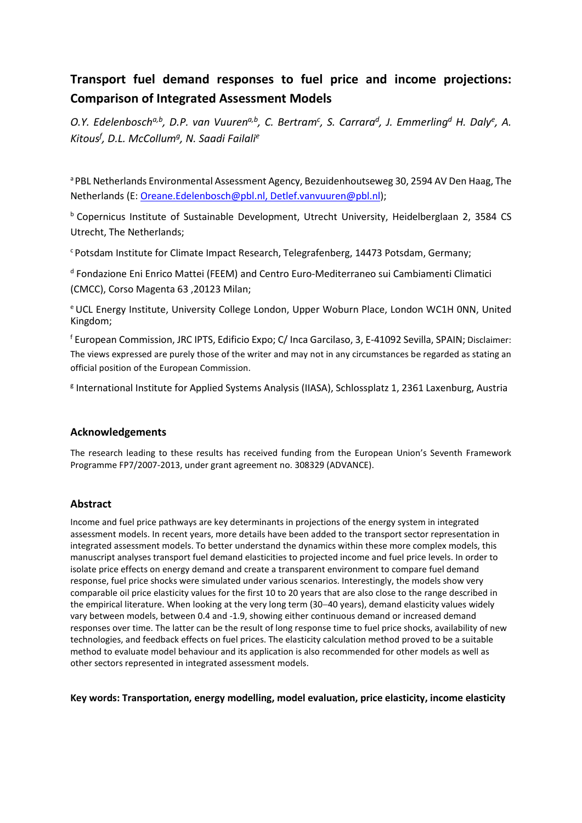# **Transport fuel demand responses to fuel price and income projections: Comparison of Integrated Assessment Models**

O.Y. Edelenbosch<sup>a,b</sup>, D.P. van Vuuren<sup>a,b</sup>, C. Bertram<sup>c</sup>, S. Carrara<sup>d</sup>, J. Emmerling<sup>d</sup> H. Daly<sup>e</sup>, A. *Kitousf , D.L. McCollumg, N. Saadi Failalie*

a PBL Netherlands Environmental Assessment Agency, Bezuidenhoutseweg 30, 2594 AV Den Haag, The Netherlands (E[: Oreane.Edelenbosch@pbl.nl,](mailto:Oreane.Edelenbosch@pbl.nl) Detlef.vanvuuren@pbl.nl);

b Copernicus Institute of Sustainable Development, Utrecht University, Heidelberglaan 2, 3584 CS Utrecht, The Netherlands;

c Potsdam Institute for Climate Impact Research, Telegrafenberg, 14473 Potsdam, Germany;

<sup>d</sup> Fondazione Eni Enrico Mattei (FEEM) and Centro Euro-Mediterraneo sui Cambiamenti Climatici (CMCC), Corso Magenta 63 ,20123 Milan;

e UCL Energy Institute, University College London, Upper Woburn Place, London WC1H 0NN, United Kingdom;

<sup>f</sup> European Commission, JRC IPTS, Edificio Expo; C/ Inca Garcilaso, 3, E-41092 Sevilla, SPAIN; Disclaimer: The views expressed are purely those of the writer and may not in any circumstances be regarded as stating an official position of the European Commission.

<sup>g</sup> International Institute for Applied Systems Analysis (IIASA), Schlossplatz 1, 2361 Laxenburg, Austria

# **Acknowledgements**

The research leading to these results has received funding from the European Union's Seventh Framework Programme FP7/2007-2013, under grant agreement no. 308329 (ADVANCE).

# **Abstract**

Income and fuel price pathways are key determinants in projections of the energy system in integrated assessment models. In recent years, more details have been added to the transport sector representation in integrated assessment models. To better understand the dynamics within these more complex models, this manuscript analyses transport fuel demand elasticities to projected income and fuel price levels. In order to isolate price effects on energy demand and create a transparent environment to compare fuel demand response, fuel price shocks were simulated under various scenarios. Interestingly, the models show very comparable oil price elasticity values for the first 10 to 20 years that are also close to the range described in the empirical literature. When looking at the very long term (30−40 years), demand elasticity values widely vary between models, between 0.4 and -1.9, showing either continuous demand or increased demand responses over time. The latter can be the result of long response time to fuel price shocks, availability of new technologies, and feedback effects on fuel prices. The elasticity calculation method proved to be a suitable method to evaluate model behaviour and its application is also recommended for other models as well as other sectors represented in integrated assessment models.

**Key words: Transportation, energy modelling, model evaluation, price elasticity, income elasticity**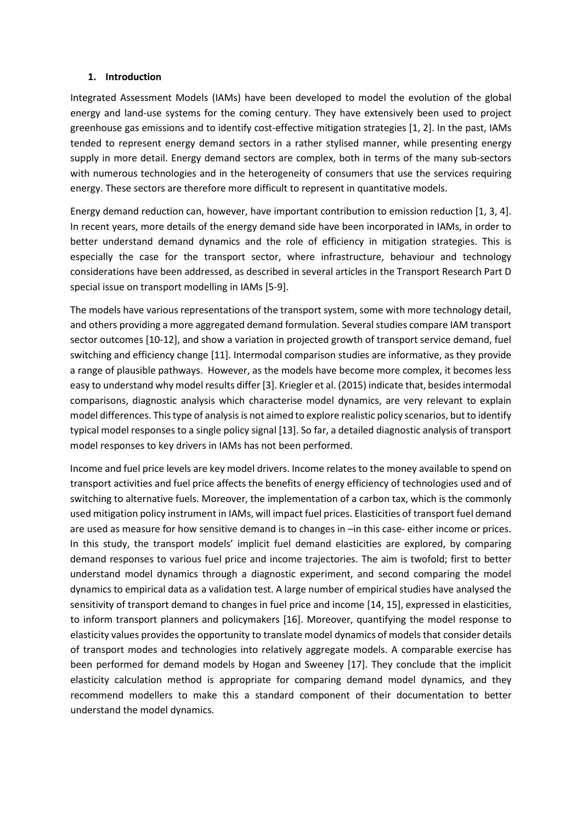#### **1. Introduction**

Integrated Assessment Models (IAMs) have been developed to model the evolution of the global energy and land-use systems for the coming century. They have extensively been used to project greenhouse gas emissions and to identify cost-effective mitigation strategies [\[1,](#page-16-0) [2\]](#page-16-1). In the past, IAMs tended to represent energy demand sectors in a rather stylised manner, while presenting energy supply in more detail. Energy demand sectors are complex, both in terms of the many sub-sectors with numerous technologies and in the heterogeneity of consumers that use the services requiring energy. These sectors are therefore more difficult to represent in quantitative models.

Energy demand reduction can, however, have important contribution to emission reduction [\[1,](#page-16-0) [3,](#page-16-2) [4\]](#page-16-3). In recent years, more details of the energy demand side have been incorporated in IAMs, in order to better understand demand dynamics and the role of efficiency in mitigation strategies. This is especially the case for the transport sector, where infrastructure, behaviour and technology considerations have been addressed, as described in several articles in the Transport Research Part D special issue on transport modelling in IAMs [\[5-9\]](#page-16-4).

The models have various representations of the transport system, some with more technology detail, and others providing a more aggregated demand formulation. Several studies compare IAM transport sector outcomes [\[10-12\]](#page-16-5), and show a variation in projected growth of transport service demand, fuel switching and efficiency change [\[11\]](#page-16-6). Intermodal comparison studies are informative, as they provide a range of plausible pathways. However, as the models have become more complex, it becomes less easy to understand why model results differ [\[3\]](#page-16-2). Kriegler et al. (2015) indicate that, besides intermodal comparisons, diagnostic analysis which characterise model dynamics, are very relevant to explain model differences. This type of analysis is not aimed to explore realistic policy scenarios, but to identify typical model responses to a single policy signal [\[13\]](#page-16-7). So far, a detailed diagnostic analysis of transport model responses to key drivers in IAMs has not been performed.

Income and fuel price levels are key model drivers. Income relates to the money available to spend on transport activities and fuel price affects the benefits of energy efficiency of technologies used and of switching to alternative fuels. Moreover, the implementation of a carbon tax, which is the commonly used mitigation policy instrument in IAMs, will impact fuel prices. Elasticities of transport fuel demand are used as measure for how sensitive demand is to changes in –in this case- either income or prices. In this study, the transport models' implicit fuel demand elasticities are explored, by comparing demand responses to various fuel price and income trajectories. The aim is twofold; first to better understand model dynamics through a diagnostic experiment, and second comparing the model dynamics to empirical data as a validation test. A large number of empirical studies have analysed the sensitivity of transport demand to changes in fuel price and income [\[14,](#page-16-8) [15\]](#page-16-9), expressed in elasticities, to inform transport planners and policymakers [\[16\]](#page-16-10). Moreover, quantifying the model response to elasticity values provides the opportunity to translate model dynamics of models that consider details of transport modes and technologies into relatively aggregate models. A comparable exercise has been performed for demand models by [Hogan and Sweeney \[17\]](#page-16-11). They conclude that the implicit elasticity calculation method is appropriate for comparing demand model dynamics, and they recommend modellers to make this a standard component of their documentation to better understand the model dynamics.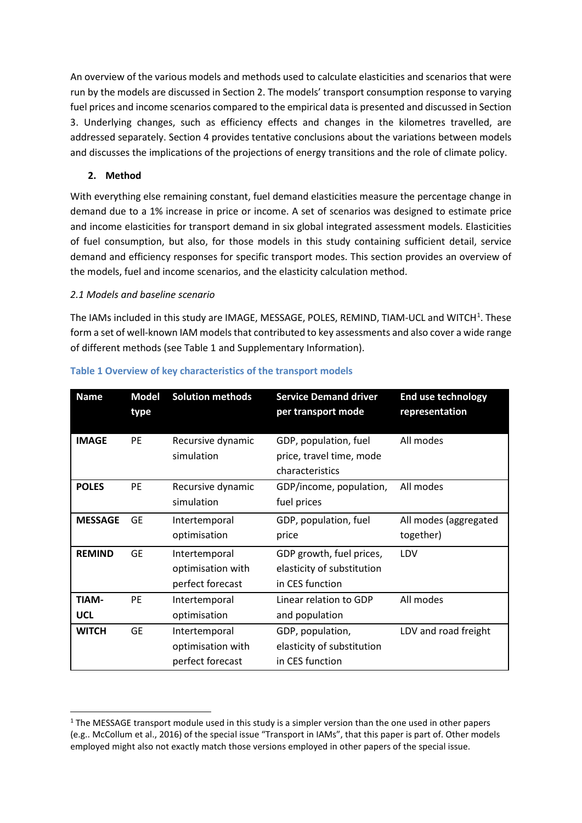An overview of the various models and methods used to calculate elasticities and scenarios that were run by the models are discussed in Section 2. The models' transport consumption response to varying fuel prices and income scenarios compared to the empirical data is presented and discussed in Section 3. Underlying changes, such as efficiency effects and changes in the kilometres travelled, are addressed separately. Section 4 provides tentative conclusions about the variations between models and discusses the implications of the projections of energy transitions and the role of climate policy.

# **2. Method**

-

With everything else remaining constant, fuel demand elasticities measure the percentage change in demand due to a 1% increase in price or income. A set of scenarios was designed to estimate price and income elasticities for transport demand in six global integrated assessment models. Elasticities of fuel consumption, but also, for those models in this study containing sufficient detail, service demand and efficiency responses for specific transport modes. This section provides an overview of the models, fuel and income scenarios, and the elasticity calculation method.

# *2.1 Models and baseline scenario*

The IAMs included in this study are IMAGE, MESSAGE, POLES, REMIND, TIAM-UCL and WITCH<sup>[1](#page-2-0)</sup>. These form a set of well-known IAM models that contributed to key assessments and also cover a wide range of different methods (see Table 1 and Supplementary Information).

| <b>Name</b>                | <b>Model</b><br>type | <b>Solution methods</b>                                | <b>Service Demand driver</b><br>per transport mode                        | <b>End use technology</b><br>representation |
|----------------------------|----------------------|--------------------------------------------------------|---------------------------------------------------------------------------|---------------------------------------------|
| <b>IMAGE</b>               | <b>PE</b>            | Recursive dynamic<br>simulation                        | GDP, population, fuel<br>price, travel time, mode<br>characteristics      | All modes                                   |
| <b>POLES</b>               | <b>PE</b>            | Recursive dynamic<br>simulation                        | GDP/income, population,<br>fuel prices                                    | All modes                                   |
| <b>MESSAGE</b>             | <b>GE</b>            | Intertemporal<br>optimisation                          | GDP, population, fuel<br>price                                            | All modes (aggregated<br>together)          |
| <b>REMIND</b>              | <b>GE</b>            | Intertemporal<br>optimisation with<br>perfect forecast | GDP growth, fuel prices,<br>elasticity of substitution<br>in CES function | LDV                                         |
| <b>TIAM-</b><br><b>UCL</b> | <b>PE</b>            | Intertemporal<br>optimisation                          | Linear relation to GDP<br>and population                                  | All modes                                   |
| <b>WITCH</b>               | <b>GE</b>            | Intertemporal<br>optimisation with<br>perfect forecast | GDP, population,<br>elasticity of substitution<br>in CES function         | LDV and road freight                        |

# **Table 1 Overview of key characteristics of the transport models**

<span id="page-2-0"></span> $1$  The MESSAGE transport module used in this study is a simpler version than the one used in other papers (e.g.[. McCollum et al., 2016\)](#page-16-12) of the special issue "Transport in IAMs", that this paper is part of. Other models employed might also not exactly match those versions employed in other papers of the special issue.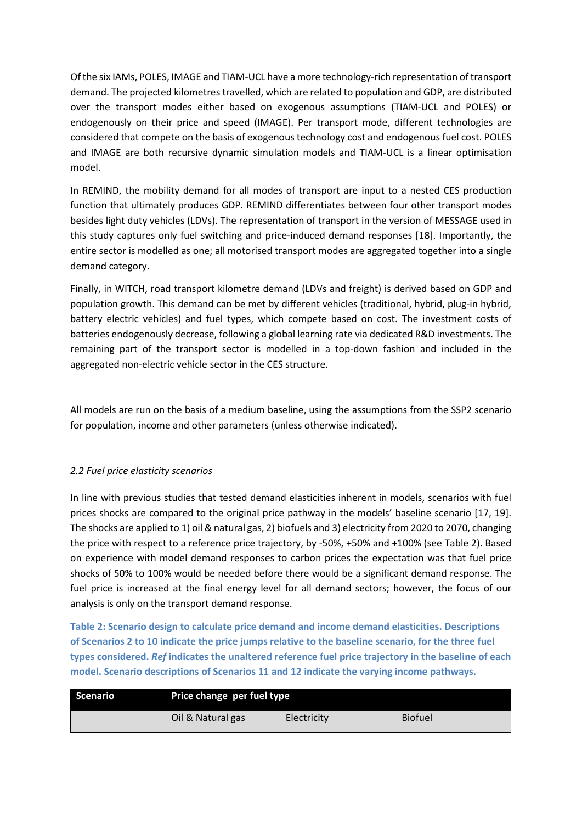Of the six IAMs, POLES, IMAGE and TIAM-UCL have a more technology-rich representation of transport demand. The projected kilometres travelled, which are related to population and GDP, are distributed over the transport modes either based on exogenous assumptions (TIAM-UCL and POLES) or endogenously on their price and speed (IMAGE). Per transport mode, different technologies are considered that compete on the basis of exogenous technology cost and endogenous fuel cost. POLES and IMAGE are both recursive dynamic simulation models and TIAM-UCL is a linear optimisation model.

In REMIND, the mobility demand for all modes of transport are input to a nested CES production function that ultimately produces GDP. REMIND differentiates between four other transport modes besides light duty vehicles (LDVs). The representation of transport in the version of MESSAGE used in this study captures only fuel switching and price-induced demand responses [\[18\]](#page-16-13). Importantly, the entire sector is modelled as one; all motorised transport modes are aggregated together into a single demand category.

Finally, in WITCH, road transport kilometre demand (LDVs and freight) is derived based on GDP and population growth. This demand can be met by different vehicles (traditional, hybrid, plug-in hybrid, battery electric vehicles) and fuel types, which compete based on cost. The investment costs of batteries endogenously decrease, following a global learning rate via dedicated R&D investments. The remaining part of the transport sector is modelled in a top-down fashion and included in the aggregated non-electric vehicle sector in the CES structure.

All models are run on the basis of a medium baseline, using the assumptions from the SSP2 scenario for population, income and other parameters (unless otherwise indicated).

# *2.2 Fuel price elasticity scenarios*

In line with previous studies that tested demand elasticities inherent in models, scenarios with fuel prices shocks are compared to the original price pathway in the models' baseline scenario [\[17,](#page-16-11) [19\]](#page-16-12). The shocks are applied to 1) oil & natural gas, 2) biofuels and 3) electricity from 2020 to 2070, changing the price with respect to a reference price trajectory, by -50%, +50% and +100% (see Table 2). Based on experience with model demand responses to carbon prices the expectation was that fuel price shocks of 50% to 100% would be needed before there would be a significant demand response. The fuel price is increased at the final energy level for all demand sectors; however, the focus of our analysis is only on the transport demand response.

**Table 2: Scenario design to calculate price demand and income demand elasticities. Descriptions of Scenarios 2 to 10 indicate the price jumps relative to the baseline scenario, for the three fuel types considered.** *Ref* **indicates the unaltered reference fuel price trajectory in the baseline of each model. Scenario descriptions of Scenarios 11 and 12 indicate the varying income pathways.**

| Scenario | Price change per fuel type |             |                |  |  |  |
|----------|----------------------------|-------------|----------------|--|--|--|
|          | Oil & Natural gas          | Electricity | <b>Biofuel</b> |  |  |  |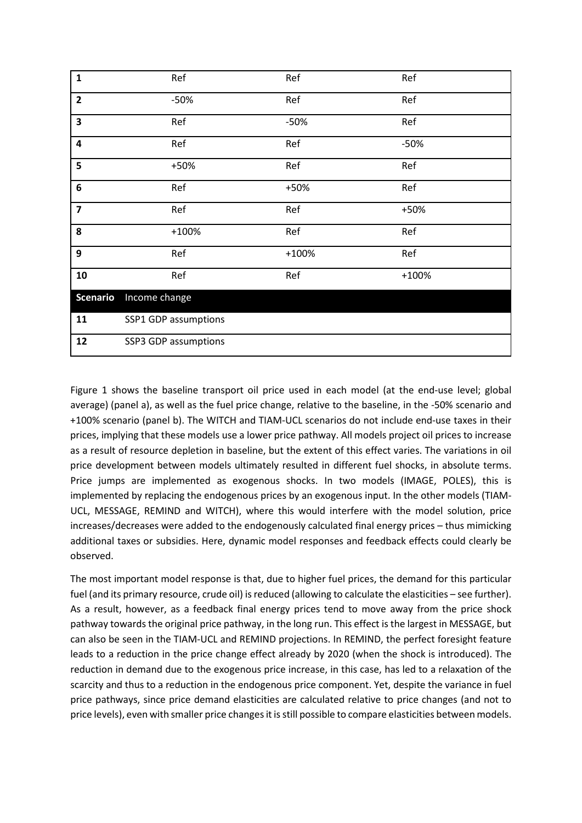| $\mathbf{1}$            | Ref                  | Ref     | Ref     |  |
|-------------------------|----------------------|---------|---------|--|
| $\overline{2}$          | $-50%$               | Ref     | Ref     |  |
| $\overline{\mathbf{3}}$ | Ref                  | $-50%$  | Ref     |  |
| $\overline{\mathbf{4}}$ | Ref                  | Ref     | $-50%$  |  |
| 5                       | +50%                 | Ref     | Ref     |  |
| $\bf 6$                 | Ref                  | +50%    | Ref     |  |
| $\overline{\mathbf{z}}$ | Ref                  | Ref     | +50%    |  |
| 8                       | $+100%$              | Ref     | Ref     |  |
| 9                       | Ref                  | $+100%$ | Ref     |  |
| 10                      | Ref                  | Ref     | $+100%$ |  |
| <b>Scenario</b>         | Income change        |         |         |  |
| 11                      | SSP1 GDP assumptions |         |         |  |
| 12                      | SSP3 GDP assumptions |         |         |  |

Figure 1 shows the baseline transport oil price used in each model (at the end-use level; global average) (panel a), as well as the fuel price change, relative to the baseline, in the -50% scenario and +100% scenario (panel b). The WITCH and TIAM-UCL scenarios do not include end-use taxes in their prices, implying that these models use a lower price pathway. All models project oil prices to increase as a result of resource depletion in baseline, but the extent of this effect varies. The variations in oil price development between models ultimately resulted in different fuel shocks, in absolute terms. Price jumps are implemented as exogenous shocks. In two models (IMAGE, POLES), this is implemented by replacing the endogenous prices by an exogenous input. In the other models (TIAM-UCL, MESSAGE, REMIND and WITCH), where this would interfere with the model solution, price increases/decreases were added to the endogenously calculated final energy prices – thus mimicking additional taxes or subsidies. Here, dynamic model responses and feedback effects could clearly be observed.

The most important model response is that, due to higher fuel prices, the demand for this particular fuel (and its primary resource, crude oil) is reduced (allowing to calculate the elasticities – see further). As a result, however, as a feedback final energy prices tend to move away from the price shock pathway towards the original price pathway, in the long run. This effect is the largest in MESSAGE, but can also be seen in the TIAM-UCL and REMIND projections. In REMIND, the perfect foresight feature leads to a reduction in the price change effect already by 2020 (when the shock is introduced). The reduction in demand due to the exogenous price increase, in this case, has led to a relaxation of the scarcity and thus to a reduction in the endogenous price component. Yet, despite the variance in fuel price pathways, since price demand elasticities are calculated relative to price changes (and not to price levels), even with smaller price changes it is still possible to compare elasticities between models.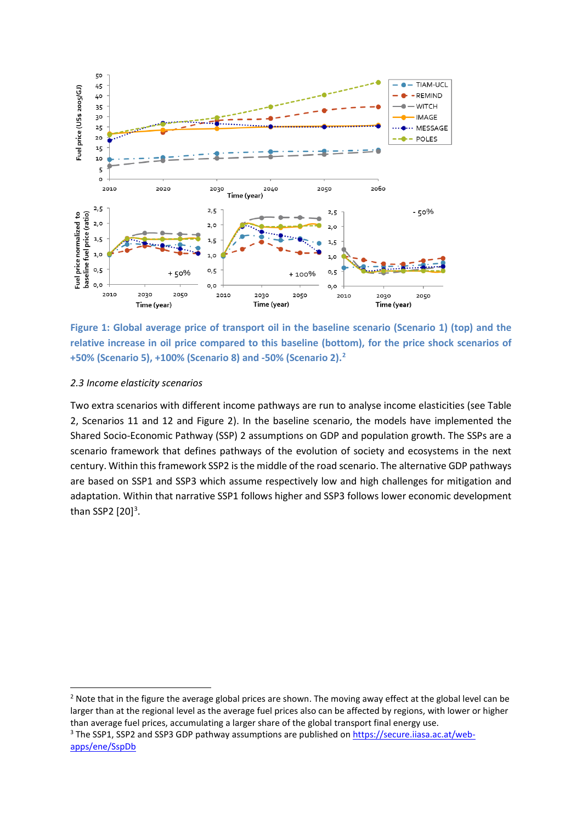

**Figure 1: Global average price of transport oil in the baseline scenario (Scenario 1) (top) and the relative increase in oil price compared to this baseline (bottom), for the price shock scenarios of +50% (Scenario 5), +100% (Scenario 8) and -50% (Scenario 2). [2](#page-5-0)**

#### *2.3 Income elasticity scenarios*

-

Two extra scenarios with different income pathways are run to analyse income elasticities (see Table 2, Scenarios 11 and 12 and Figure 2). In the baseline scenario, the models have implemented the Shared Socio-Economic Pathway (SSP) 2 assumptions on GDP and population growth. The SSPs are a scenario framework that defines pathways of the evolution of society and ecosystems in the next century. Within this framework SSP2 is the middle of the road scenario. The alternative GDP pathways are based on SSP1 and SSP3 which assume respectively low and high challenges for mitigation and adaptation. Within that narrative SSP1 follows higher and SSP3 follows lower economic development than SSP2  $[20]$ <sup>[3](#page-5-1)</sup>.

<span id="page-5-0"></span><sup>&</sup>lt;sup>2</sup> Note that in the figure the average global prices are shown. The moving away effect at the global level can be larger than at the regional level as the average fuel prices also can be affected by regions, with lower or higher than average fuel prices, accumulating a larger share of the global transport final energy use.

<span id="page-5-1"></span><sup>&</sup>lt;sup>3</sup> The SSP1, SSP2 and SSP3 GDP pathway assumptions are published on [https://secure.iiasa.ac.at/web](https://secure.iiasa.ac.at/web-apps/ene/SspDb)[apps/ene/SspDb](https://secure.iiasa.ac.at/web-apps/ene/SspDb)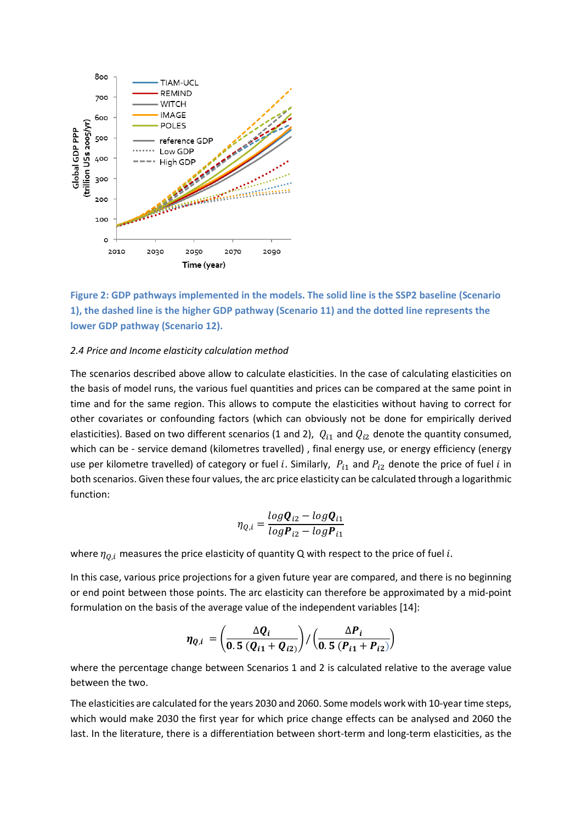

**Figure 2: GDP pathways implemented in the models. The solid line is the SSP2 baseline (Scenario 1), the dashed line is the higher GDP pathway (Scenario 11) and the dotted line represents the lower GDP pathway (Scenario 12).**

#### *2.4 Price and Income elasticity calculation method*

The scenarios described above allow to calculate elasticities. In the case of calculating elasticities on the basis of model runs, the various fuel quantities and prices can be compared at the same point in time and for the same region. This allows to compute the elasticities without having to correct for other covariates or confounding factors (which can obviously not be done for empirically derived elasticities). Based on two different scenarios (1 and 2),  $Q_{i1}$  and  $Q_{i2}$  denote the quantity consumed, which can be - service demand (kilometres travelled) , final energy use, or energy efficiency (energy use per kilometre travelled) of category or fuel i. Similarly,  $P_{i1}$  and  $P_{i2}$  denote the price of fuel i in both scenarios. Given these four values, the arc price elasticity can be calculated through a logarithmic function:

$$
\eta_{Q,i} = \frac{\log \mathbf{Q}_{i2} - \log \mathbf{Q}_{i1}}{\log \mathbf{P}_{i2} - \log \mathbf{P}_{i1}}
$$

where  $\eta_{0,i}$  measures the price elasticity of quantity Q with respect to the price of fuel *i*.

In this case, various price projections for a given future year are compared, and there is no beginning or end point between those points. The arc elasticity can therefore be approximated by a mid-point formulation on the basis of the average value of the independent variables [\[14\]](#page-16-8):

$$
\eta_{Q,i} = \left(\frac{\Delta Q_i}{0.5 (Q_{i1} + Q_{i2})}\right) / \left(\frac{\Delta P_i}{0.5 (P_{i1} + P_{i2})}\right)
$$

where the percentage change between Scenarios 1 and 2 is calculated relative to the average value between the two.

The elasticities are calculated for the years 2030 and 2060. Some models work with 10-year time steps, which would make 2030 the first year for which price change effects can be analysed and 2060 the last. In the literature, there is a differentiation between short-term and long-term elasticities, as the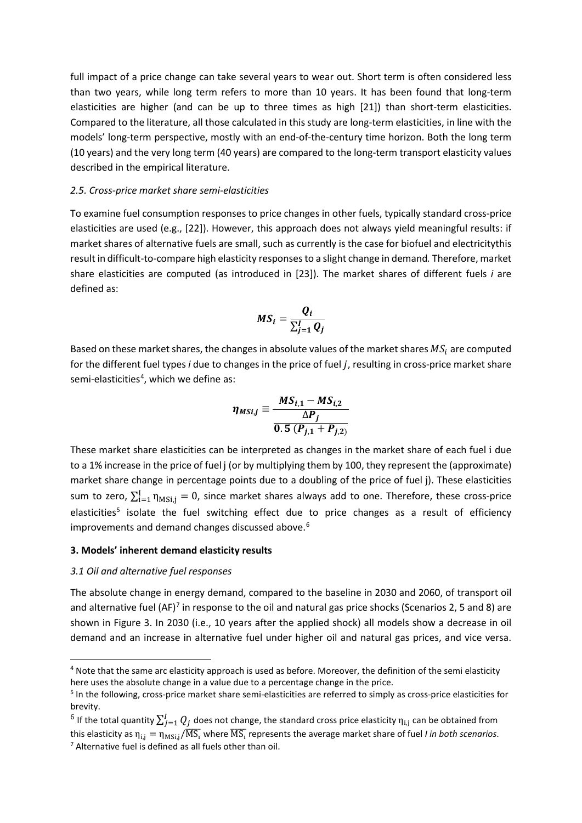full impact of a price change can take several years to wear out. Short term is often considered less than two years, while long term refers to more than 10 years. It has been found that long-term elasticities are higher (and can be up to three times as high [\[21\]](#page-17-1)) than short-term elasticities. Compared to the literature, all those calculated in this study are long-term elasticities, in line with the models' long-term perspective, mostly with an end-of-the-century time horizon. Both the long term (10 years) and the very long term (40 years) are compared to the long-term transport elasticity values described in the empirical literature.

#### *2.5. Cross-price market share semi-elasticities*

To examine fuel consumption responses to price changes in other fuels, typically standard cross-price elasticities are used (e.g., [\[22\]](#page-17-2)). However, this approach does not always yield meaningful results: if market shares of alternative fuels are small, such as currently is the case for biofuel and electricitythis result in difficult-to-compare high elasticity responsesto a slight change in demand*.* Therefore, market share elasticities are computed (as introduced in [\[23\]](#page-17-3)). The market shares of different fuels *i* are defined as:

$$
MS_i = \frac{Q_i}{\sum_{j=1}^{I} Q_j}
$$

Based on these market shares, the changes in absolute values of the market shares  $MS_i$  are computed for the different fuel types *i* due to changes in the price of fuel *j*, resulting in cross-price market share semi-elasticities<sup>[4](#page-7-0)</sup>, which we define as:

$$
\eta_{MSi,j} \equiv \frac{MS_{i,1} - MS_{i,2}}{0.5 (P_{j,1} + P_{j,2})}
$$

These market share elasticities can be interpreted as changes in the market share of each fuel i due to a 1% increase in the price of fuel j (or by multiplying them by 100, they represent the (approximate) market share change in percentage points due to a doubling of the price of fuel j). These elasticities sum to zero,  $\sum_{i=1}^{1} \eta_{MSi,j} = 0$ , since market shares always add to one. Therefore, these cross-price elasticities<sup>5</sup> isolate the fuel switching effect due to price changes as a result of efficiency improvements and demand changes discussed above.<sup>[6](#page-7-2)</sup>

#### **3. Models' inherent demand elasticity results**

#### *3.1 Oil and alternative fuel responses*

-

The absolute change in energy demand, compared to the baseline in 2030 and 2060, of transport oil and alternative fuel  $(AF)^7$  $(AF)^7$  in response to the oil and natural gas price shocks (Scenarios 2, 5 and 8) are shown in Figure 3. In 2030 (i.e., 10 years after the applied shock) all models show a decrease in oil demand and an increase in alternative fuel under higher oil and natural gas prices, and vice versa.

<span id="page-7-0"></span><sup>4</sup> Note that the same arc elasticity approach is used as before. Moreover, the definition of the semi elasticity here uses the absolute change in a value due to a percentage change in the price.

<span id="page-7-1"></span><sup>5</sup> In the following, cross-price market share semi-elasticities are referred to simply as cross-price elasticities for brevity.

<span id="page-7-3"></span><span id="page-7-2"></span> $^6$  If the total quantity  $\sum_{j=1}^I Q_j$  does not change, the standard cross price elasticity  $\eta_{\rm i,j}$  can be obtained from this elasticity as  $\eta_{i,j} = \eta_{MSi,j}/\overline{MS_i}$  where  $\overline{MS_i}$  represents the average market share of fuel *I in both scenarios.* <sup>7</sup> Alternative fuel is defined as all fuels other than oil.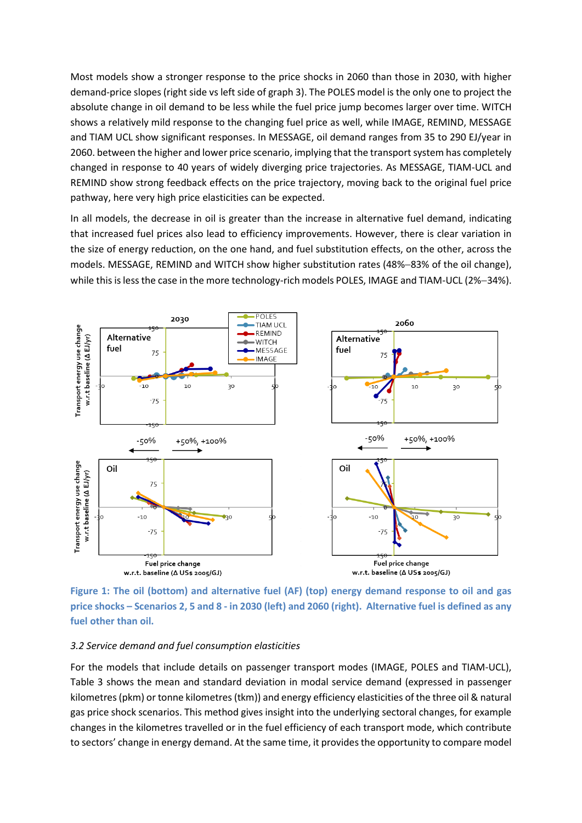Most models show a stronger response to the price shocks in 2060 than those in 2030, with higher demand-price slopes (right side vs left side of graph 3). The POLES model is the only one to project the absolute change in oil demand to be less while the fuel price jump becomes larger over time. WITCH shows a relatively mild response to the changing fuel price as well, while IMAGE, REMIND, MESSAGE and TIAM UCL show significant responses. In MESSAGE, oil demand ranges from 35 to 290 EJ/year in 2060. between the higher and lower price scenario, implying that the transport system has completely changed in response to 40 years of widely diverging price trajectories. As MESSAGE, TIAM-UCL and REMIND show strong feedback effects on the price trajectory, moving back to the original fuel price pathway, here very high price elasticities can be expected.

In all models, the decrease in oil is greater than the increase in alternative fuel demand, indicating that increased fuel prices also lead to efficiency improvements. However, there is clear variation in the size of energy reduction, on the one hand, and fuel substitution effects, on the other, across the models. MESSAGE, REMIND and WITCH show higher substitution rates (48%−83% of the oil change), while this is less the case in the more technology-rich models POLES, IMAGE and TIAM-UCL (2%−34%).



**Figure 1: The oil (bottom) and alternative fuel (AF) (top) energy demand response to oil and gas price shocks – Scenarios 2, 5 and 8 - in 2030 (left) and 2060 (right). Alternative fuel is defined as any fuel other than oil.**

# *3.2 Service demand and fuel consumption elasticities*

For the models that include details on passenger transport modes (IMAGE, POLES and TIAM-UCL), Table 3 shows the mean and standard deviation in modal service demand (expressed in passenger kilometres(pkm) or tonne kilometres(tkm)) and energy efficiency elasticities of the three oil & natural gas price shock scenarios. This method gives insight into the underlying sectoral changes, for example changes in the kilometres travelled or in the fuel efficiency of each transport mode, which contribute to sectors' change in energy demand. At the same time, it provides the opportunity to compare model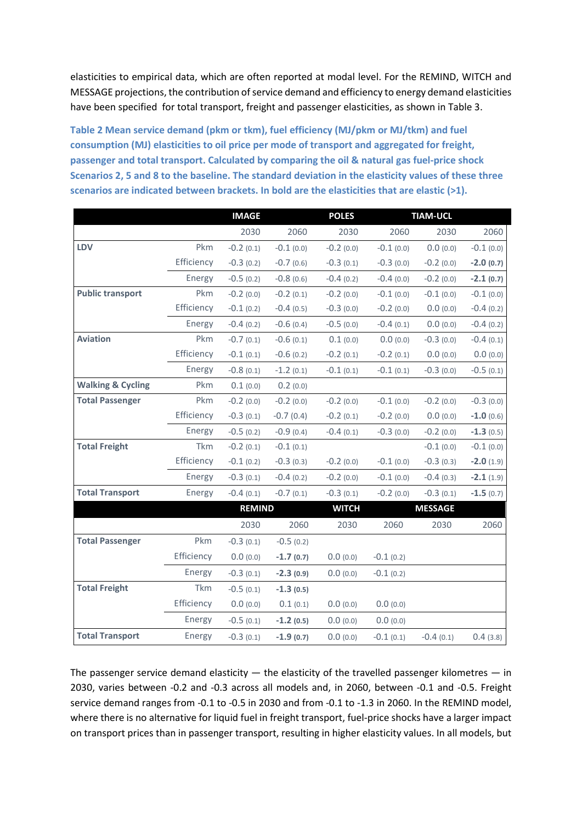elasticities to empirical data, which are often reported at modal level. For the REMIND, WITCH and MESSAGE projections, the contribution of service demand and efficiency to energy demand elasticities have been specified for total transport, freight and passenger elasticities, as shown in Table 3.

**Table 2 Mean service demand (pkm or tkm), fuel efficiency (MJ/pkm or MJ/tkm) and fuel consumption (MJ) elasticities to oil price per mode of transport and aggregated for freight, passenger and total transport. Calculated by comparing the oil & natural gas fuel-price shock Scenarios 2, 5 and 8 to the baseline. The standard deviation in the elasticity values of these three scenarios are indicated between brackets. In bold are the elasticities that are elastic (>1).**

|                              |            | <b>IMAGE</b>  |             | <b>POLES</b> | <b>TIAM-UCL</b> |                |             |
|------------------------------|------------|---------------|-------------|--------------|-----------------|----------------|-------------|
|                              |            | 2030          | 2060        | 2030         | 2060            | 2030           | 2060        |
| LDV                          | Pkm        | $-0.2(0.1)$   | $-0.1(0.0)$ | $-0.2(0.0)$  | $-0.1(0.0)$     | 0.0(0.0)       | $-0.1(0.0)$ |
|                              | Efficiency | $-0.3(0.2)$   | $-0.7(0.6)$ | $-0.3(0.1)$  | $-0.3(0.0)$     | $-0.2$ (0.0)   | $-2.0(0.7)$ |
|                              | Energy     | $-0.5(0.2)$   | $-0.8(0.6)$ | $-0.4(0.2)$  | $-0.4(0.0)$     | $-0.2$ (0.0)   | $-2.1(0.7)$ |
| <b>Public transport</b>      | Pkm        | $-0.2(0.0)$   | $-0.2(0.1)$ | $-0.2(0.0)$  | $-0.1(0.0)$     | $-0.1(0.0)$    | $-0.1(0.0)$ |
|                              | Efficiency | $-0.1(0.2)$   | $-0.4(0.5)$ | $-0.3(0.0)$  | $-0.2$ (0.0)    | 0.0(0.0)       | $-0.4(0.2)$ |
|                              | Energy     | $-0.4(0.2)$   | $-0.6(0.4)$ | $-0.5(0.0)$  | $-0.4(0.1)$     | 0.0(0.0)       | $-0.4(0.2)$ |
| <b>Aviation</b>              | Pkm        | $-0.7(0.1)$   | $-0.6(0.1)$ | 0.1(0.0)     | 0.0(0.0)        | $-0.3(0.0)$    | $-0.4(0.1)$ |
|                              | Efficiency | $-0.1(0.1)$   | $-0.6(0.2)$ | $-0.2$ (0.1) | $-0.2(0.1)$     | 0.0(0.0)       | 0.0(0.0)    |
|                              | Energy     | $-0.8(0.1)$   | $-1.2(0.1)$ | $-0.1(0.1)$  | $-0.1(0.1)$     | $-0.3(0.0)$    | $-0.5(0.1)$ |
| <b>Walking &amp; Cycling</b> | Pkm        | 0.1(0.0)      | 0.2(0.0)    |              |                 |                |             |
| <b>Total Passenger</b>       | Pkm        | $-0.2(0.0)$   | $-0.2(0.0)$ | $-0.2(0.0)$  | $-0.1(0.0)$     | $-0.2$ (0.0)   | $-0.3(0.0)$ |
|                              | Efficiency | $-0.3(0.1)$   | $-0.7(0.4)$ | $-0.2(0.1)$  | $-0.2(0.0)$     | 0.0(0.0)       | $-1.0(0.6)$ |
|                              | Energy     | $-0.5(0.2)$   | $-0.9(0.4)$ | $-0.4(0.1)$  | $-0.3(0.0)$     | $-0.2(0.0)$    | $-1.3(0.5)$ |
| <b>Total Freight</b>         | Tkm        | $-0.2(0.1)$   | $-0.1(0.1)$ |              |                 | $-0.1(0.0)$    | $-0.1(0.0)$ |
|                              | Efficiency | $-0.1(0.2)$   | $-0.3(0.3)$ | $-0.2(0.0)$  | $-0.1(0.0)$     | $-0.3(0.3)$    | $-2.0(1.9)$ |
|                              | Energy     | $-0.3(0.1)$   | $-0.4(0.2)$ | $-0.2(0.0)$  | $-0.1(0.0)$     | $-0.4(0.3)$    | $-2.1(1.9)$ |
| <b>Total Transport</b>       | Energy     | $-0.4(0.1)$   | $-0.7(0.1)$ | $-0.3(0.1)$  | $-0.2(0.0)$     | $-0.3(0.1)$    | $-1.5(0.7)$ |
|                              |            | <b>REMIND</b> |             | <b>WITCH</b> |                 | <b>MESSAGE</b> |             |
|                              |            | 2030          | 2060        | 2030         | 2060            | 2030           | 2060        |
| <b>Total Passenger</b>       | Pkm        | $-0.3(0.1)$   | $-0.5(0.2)$ |              |                 |                |             |
|                              | Efficiency | 0.0(0.0)      | $-1.7(0.7)$ | 0.0(0.0)     | $-0.1(0.2)$     |                |             |
|                              | Energy     | $-0.3(0.1)$   | $-2.3(0.9)$ | 0.0(0.0)     | $-0.1(0.2)$     |                |             |
| <b>Total Freight</b>         | Tkm        | $-0.5(0.1)$   | $-1.3(0.5)$ |              |                 |                |             |
|                              | Efficiency | 0.0(0.0)      | 0.1(0.1)    | 0.0(0.0)     | 0.0(0.0)        |                |             |
|                              | Energy     | $-0.5(0.1)$   | $-1.2(0.5)$ | 0.0(0.0)     | 0.0(0.0)        |                |             |
| <b>Total Transport</b>       | Energy     | $-0.3(0.1)$   | $-1.9(0.7)$ | 0.0(0.0)     | $-0.1(0.1)$     | $-0.4(0.1)$    | 0.4(3.8)    |

The passenger service demand elasticity  $-$  the elasticity of the travelled passenger kilometres  $-$  in 2030, varies between -0.2 and -0.3 across all models and, in 2060, between -0.1 and -0.5. Freight service demand ranges from -0.1 to -0.5 in 2030 and from -0.1 to -1.3 in 2060. In the REMIND model, where there is no alternative for liquid fuel in freight transport, fuel-price shocks have a larger impact on transport prices than in passenger transport, resulting in higher elasticity values. In all models, but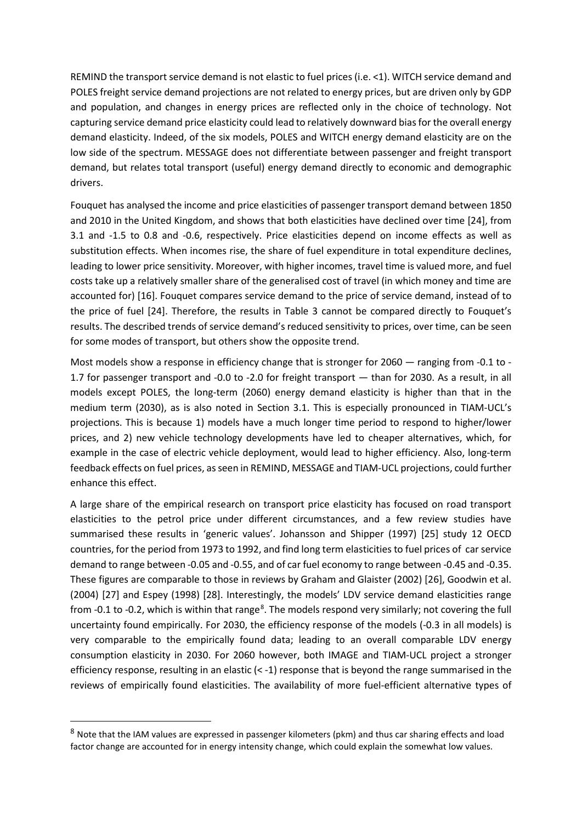REMIND the transport service demand is not elastic to fuel prices (i.e. <1). WITCH service demand and POLES freight service demand projections are not related to energy prices, but are driven only by GDP and population, and changes in energy prices are reflected only in the choice of technology. Not capturing service demand price elasticity could lead to relatively downward bias for the overall energy demand elasticity. Indeed, of the six models, POLES and WITCH energy demand elasticity are on the low side of the spectrum. MESSAGE does not differentiate between passenger and freight transport demand, but relates total transport (useful) energy demand directly to economic and demographic drivers.

Fouquet has analysed the income and price elasticities of passenger transport demand between 1850 and 2010 in the United Kingdom, and shows that both elasticities have declined over time [\[24\]](#page-17-4), from 3.1 and -1.5 to 0.8 and -0.6, respectively. Price elasticities depend on income effects as well as substitution effects. When incomes rise, the share of fuel expenditure in total expenditure declines, leading to lower price sensitivity. Moreover, with higher incomes, travel time is valued more, and fuel costs take up a relatively smaller share of the generalised cost of travel (in which money and time are accounted for) [\[16\]](#page-16-10). Fouquet compares service demand to the price of service demand, instead of to the price of fuel [\[24\]](#page-17-4). Therefore, the results in Table 3 cannot be compared directly to Fouquet's results. The described trends of service demand's reduced sensitivity to prices, over time, can be seen for some modes of transport, but others show the opposite trend.

Most models show a response in efficiency change that is stronger for 2060 — ranging from -0.1 to -1.7 for passenger transport and -0.0 to -2.0 for freight transport — than for 2030. As a result, in all models except POLES, the long-term (2060) energy demand elasticity is higher than that in the medium term (2030), as is also noted in Section 3.1. This is especially pronounced in TIAM-UCL's projections. This is because 1) models have a much longer time period to respond to higher/lower prices, and 2) new vehicle technology developments have led to cheaper alternatives, which, for example in the case of electric vehicle deployment, would lead to higher efficiency. Also, long-term feedback effects on fuel prices, as seen in REMIND, MESSAGE and TIAM-UCL projections, could further enhance this effect.

A large share of the empirical research on transport price elasticity has focused on road transport elasticities to the petrol price under different circumstances, and a few review studies have summarised these results in 'generic values'. Johansson and Shipper (1997) [\[25\]](#page-17-5) study 12 OECD countries, for the period from 1973 to 1992, and find long term elasticities to fuel prices of car service demand to range between -0.05 and -0.55, and of car fuel economy to range between -0.45 and -0.35. These figures are comparable to those in reviews by Graham and Glaister (2002) [\[26\]](#page-17-6), Goodwin et al. (2004) [\[27\]](#page-17-7) and Espey (1998) [\[28\]](#page-17-8). Interestingly, the models' LDV service demand elasticities range from -0.1 to -0.2, which is within that range<sup>[8](#page-10-0)</sup>. The models respond very similarly; not covering the full uncertainty found empirically. For 2030, the efficiency response of the models (-0.3 in all models) is very comparable to the empirically found data; leading to an overall comparable LDV energy consumption elasticity in 2030. For 2060 however, both IMAGE and TIAM-UCL project a stronger efficiency response, resulting in an elastic  $(< -1)$  response that is beyond the range summarised in the reviews of empirically found elasticities. The availability of more fuel-efficient alternative types of

-

<span id="page-10-0"></span><sup>8</sup> Note that the IAM values are expressed in passenger kilometers (pkm) and thus car sharing effects and load factor change are accounted for in energy intensity change, which could explain the somewhat low values.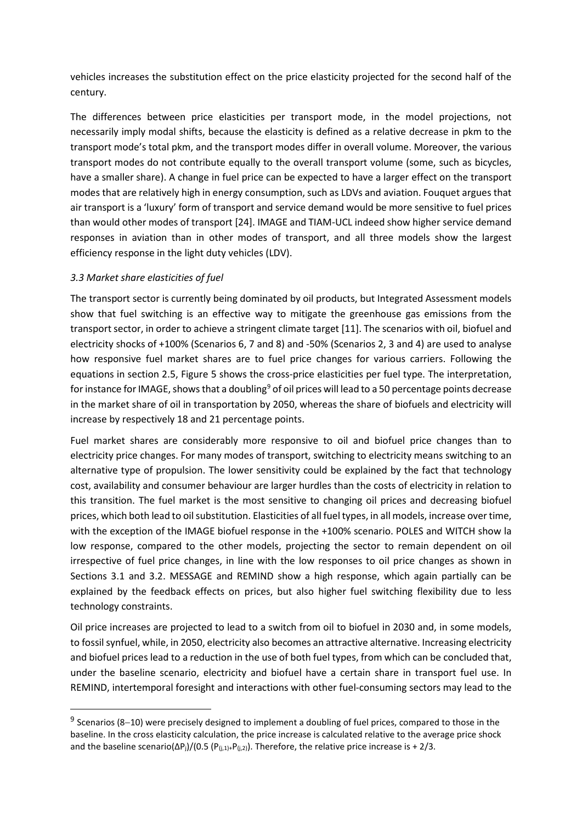vehicles increases the substitution effect on the price elasticity projected for the second half of the century.

The differences between price elasticities per transport mode, in the model projections, not necessarily imply modal shifts, because the elasticity is defined as a relative decrease in pkm to the transport mode's total pkm, and the transport modes differ in overall volume. Moreover, the various transport modes do not contribute equally to the overall transport volume (some, such as bicycles, have a smaller share). A change in fuel price can be expected to have a larger effect on the transport modes that are relatively high in energy consumption, such as LDVs and aviation. Fouquet argues that air transport is a 'luxury' form of transport and service demand would be more sensitive to fuel prices than would other modes of transport [\[24\]](#page-17-4). IMAGE and TIAM-UCL indeed show higher service demand responses in aviation than in other modes of transport, and all three models show the largest efficiency response in the light duty vehicles (LDV).

# *3.3 Market share elasticities of fuel*

-

The transport sector is currently being dominated by oil products, but Integrated Assessment models show that fuel switching is an effective way to mitigate the greenhouse gas emissions from the transport sector, in order to achieve a stringent climate target [\[11\]](#page-16-6). The scenarios with oil, biofuel and electricity shocks of +100% (Scenarios 6, 7 and 8) and -50% (Scenarios 2, 3 and 4) are used to analyse how responsive fuel market shares are to fuel price changes for various carriers. Following the equations in section 2.5, Figure 5 shows the cross-price elasticities per fuel type. The interpretation, for instance for IMAGE, shows that a doubling<sup>9</sup> of oil prices will lead to a 50 percentage points decrease in the market share of oil in transportation by 2050, whereas the share of biofuels and electricity will increase by respectively 18 and 21 percentage points.

Fuel market shares are considerably more responsive to oil and biofuel price changes than to electricity price changes. For many modes of transport, switching to electricity means switching to an alternative type of propulsion. The lower sensitivity could be explained by the fact that technology cost, availability and consumer behaviour are larger hurdles than the costs of electricity in relation to this transition. The fuel market is the most sensitive to changing oil prices and decreasing biofuel prices, which both lead to oil substitution. Elasticities of all fuel types, in all models, increase over time, with the exception of the IMAGE biofuel response in the +100% scenario. POLES and WITCH show la low response, compared to the other models, projecting the sector to remain dependent on oil irrespective of fuel price changes, in line with the low responses to oil price changes as shown in Sections 3.1 and 3.2. MESSAGE and REMIND show a high response, which again partially can be explained by the feedback effects on prices, but also higher fuel switching flexibility due to less technology constraints.

Oil price increases are projected to lead to a switch from oil to biofuel in 2030 and, in some models, to fossil synfuel, while, in 2050, electricity also becomes an attractive alternative. Increasing electricity and biofuel prices lead to a reduction in the use of both fuel types, from which can be concluded that, under the baseline scenario, electricity and biofuel have a certain share in transport fuel use. In REMIND, intertemporal foresight and interactions with other fuel-consuming sectors may lead to the

<span id="page-11-0"></span><sup>&</sup>lt;sup>9</sup> Scenarios (8–10) were precisely designed to implement a doubling of fuel prices, compared to those in the baseline. In the cross elasticity calculation, the price increase is calculated relative to the average price shock and the baseline scenario( $\Delta P_j$ )/(0.5 ( $P_{(j,1)+}P_{(j,2)}$ ). Therefore, the relative price increase is + 2/3.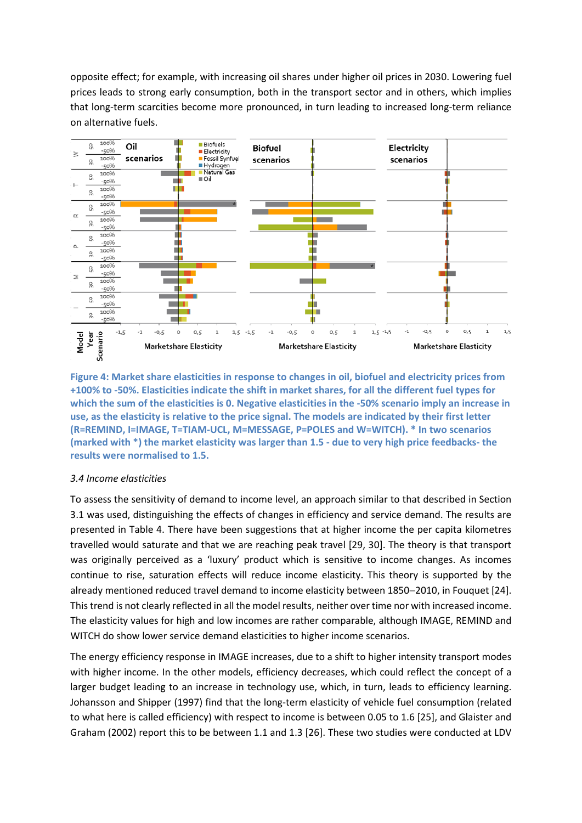opposite effect; for example, with increasing oil shares under higher oil prices in 2030. Lowering fuel prices leads to strong early consumption, both in the transport sector and in others, which implies that long-term scarcities become more pronounced, in turn leading to increased long-term reliance on alternative fuels.



**Figure 4: Market share elasticities in response to changes in oil, biofuel and electricity prices from +100% to -50%. Elasticities indicate the shift in market shares, for all the different fuel types for which the sum of the elasticities is 0. Negative elasticities in the -50% scenario imply an increase in use, as the elasticity is relative to the price signal. The models are indicated by their first letter (R=REMIND, I=IMAGE, T=TIAM-UCL, M=MESSAGE, P=POLES and W=WITCH). \* In two scenarios (marked with \*) the market elasticity was larger than 1.5 - due to very high price feedbacks- the results were normalised to 1.5.** 

# *3.4 Income elasticities*

To assess the sensitivity of demand to income level, an approach similar to that described in Section 3.1 was used, distinguishing the effects of changes in efficiency and service demand. The results are presented in Table 4. There have been suggestions that at higher income the per capita kilometres travelled would saturate and that we are reaching peak travel [\[29,](#page-17-9) [30\]](#page-17-10). The theory is that transport was originally perceived as a 'luxury' product which is sensitive to income changes. As incomes continue to rise, saturation effects will reduce income elasticity. This theory is supported by the already mentioned reduced travel demand to income elasticity between 1850−2010, in Fouquet [\[24\]](#page-17-4). This trend is not clearly reflected in all the model results, neither over time nor with increased income. The elasticity values for high and low incomes are rather comparable, although IMAGE, REMIND and WITCH do show lower service demand elasticities to higher income scenarios.

The energy efficiency response in IMAGE increases, due to a shift to higher intensity transport modes with higher income. In the other models, efficiency decreases, which could reflect the concept of a larger budget leading to an increase in technology use, which, in turn, leads to efficiency learning. Johansson and Shipper (1997) find that the long-term elasticity of vehicle fuel consumption (related to what here is called efficiency) with respect to income is between 0.05 to 1.6 [\[25\]](#page-17-5), and Glaister and Graham (2002) report this to be between 1.1 and 1.3 [\[26\]](#page-17-6). These two studies were conducted at LDV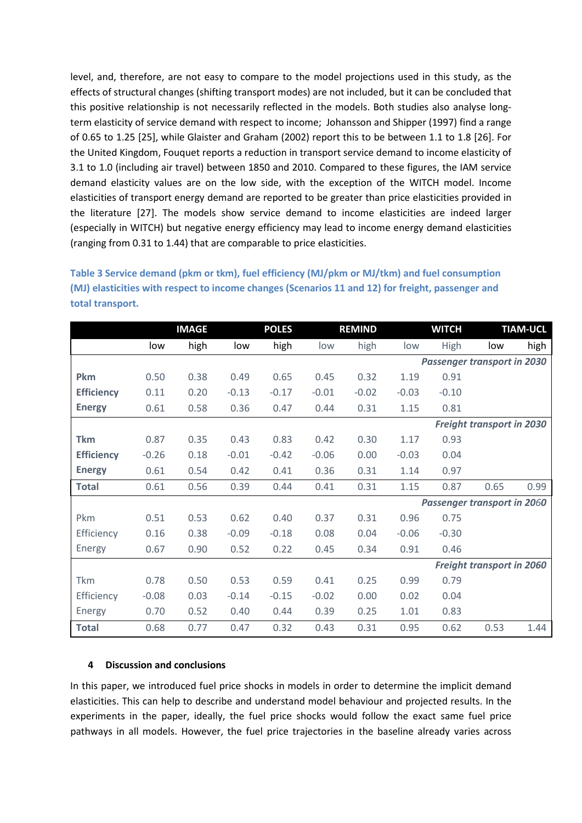level, and, therefore, are not easy to compare to the model projections used in this study, as the effects of structural changes (shifting transport modes) are not included, but it can be concluded that this positive relationship is not necessarily reflected in the models. Both studies also analyse longterm elasticity of service demand with respect to income; Johansson and Shipper (1997) find a range of 0.65 to 1.25 [\[25\]](#page-17-5), while Glaister and Graham (2002) report this to be between 1.1 to 1.8 [\[26\]](#page-17-6). For the United Kingdom, Fouquet reports a reduction in transport service demand to income elasticity of 3.1 to 1.0 (including air travel) between 1850 and 2010. Compared to these figures, the IAM service demand elasticity values are on the low side, with the exception of the WITCH model. Income elasticities of transport energy demand are reported to be greater than price elasticities provided in the literature [\[27\]](#page-17-7). The models show service demand to income elasticities are indeed larger (especially in WITCH) but negative energy efficiency may lead to income energy demand elasticities (ranging from 0.31 to 1.44) that are comparable to price elasticities.

**Table 3 Service demand (pkm or tkm), fuel efficiency (MJ/pkm or MJ/tkm) and fuel consumption (MJ) elasticities with respect to income changes (Scenarios 11 and 12) for freight, passenger and total transport.** 

|                   |         | <b>IMAGE</b> |         | <b>POLES</b> |         | <b>REMIND</b> | <b>WITCH</b> |         | <b>TIAM-UCL</b>                    |      |
|-------------------|---------|--------------|---------|--------------|---------|---------------|--------------|---------|------------------------------------|------|
|                   | low     | high         | low     | high         | low     | high          | low          | High    | low                                | high |
|                   |         |              |         |              |         |               |              |         | <b>Passenger transport in 2030</b> |      |
| <b>Pkm</b>        | 0.50    | 0.38         | 0.49    | 0.65         | 0.45    | 0.32          | 1.19         | 0.91    |                                    |      |
| <b>Efficiency</b> | 0.11    | 0.20         | $-0.13$ | $-0.17$      | $-0.01$ | $-0.02$       | $-0.03$      | $-0.10$ |                                    |      |
| <b>Energy</b>     | 0.61    | 0.58         | 0.36    | 0.47         | 0.44    | 0.31          | 1.15         | 0.81    |                                    |      |
|                   |         |              |         |              |         |               |              |         | <b>Freight transport in 2030</b>   |      |
| <b>Tkm</b>        | 0.87    | 0.35         | 0.43    | 0.83         | 0.42    | 0.30          | 1.17         | 0.93    |                                    |      |
| <b>Efficiency</b> | $-0.26$ | 0.18         | $-0.01$ | $-0.42$      | $-0.06$ | 0.00          | $-0.03$      | 0.04    |                                    |      |
| <b>Energy</b>     | 0.61    | 0.54         | 0.42    | 0.41         | 0.36    | 0.31          | 1.14         | 0.97    |                                    |      |
| <b>Total</b>      | 0.61    | 0.56         | 0.39    | 0.44         | 0.41    | 0.31          | 1.15         | 0.87    | 0.65                               | 0.99 |
|                   |         |              |         |              |         |               |              |         | <b>Passenger transport in 2060</b> |      |
| Pkm               | 0.51    | 0.53         | 0.62    | 0.40         | 0.37    | 0.31          | 0.96         | 0.75    |                                    |      |
| Efficiency        | 0.16    | 0.38         | $-0.09$ | $-0.18$      | 0.08    | 0.04          | $-0.06$      | $-0.30$ |                                    |      |
| Energy            | 0.67    | 0.90         | 0.52    | 0.22         | 0.45    | 0.34          | 0.91         | 0.46    |                                    |      |
|                   |         |              |         |              |         |               |              |         | <b>Freight transport in 2060</b>   |      |
| Tkm               | 0.78    | 0.50         | 0.53    | 0.59         | 0.41    | 0.25          | 0.99         | 0.79    |                                    |      |
| Efficiency        | $-0.08$ | 0.03         | $-0.14$ | $-0.15$      | $-0.02$ | 0.00          | 0.02         | 0.04    |                                    |      |
| Energy            | 0.70    | 0.52         | 0.40    | 0.44         | 0.39    | 0.25          | 1.01         | 0.83    |                                    |      |
| <b>Total</b>      | 0.68    | 0.77         | 0.47    | 0.32         | 0.43    | 0.31          | 0.95         | 0.62    | 0.53                               | 1.44 |

# **4 Discussion and conclusions**

In this paper, we introduced fuel price shocks in models in order to determine the implicit demand elasticities. This can help to describe and understand model behaviour and projected results. In the experiments in the paper, ideally, the fuel price shocks would follow the exact same fuel price pathways in all models. However, the fuel price trajectories in the baseline already varies across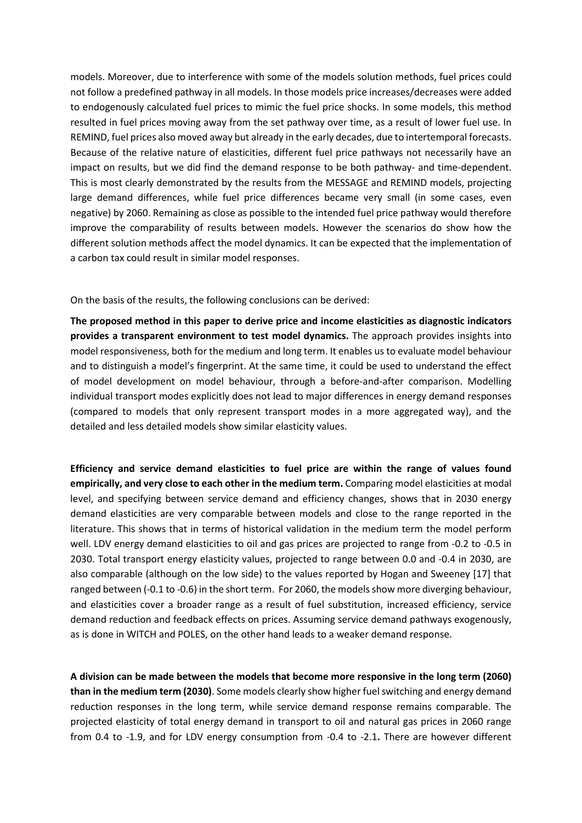models. Moreover, due to interference with some of the models solution methods, fuel prices could not follow a predefined pathway in all models. In those models price increases/decreases were added to endogenously calculated fuel prices to mimic the fuel price shocks. In some models, this method resulted in fuel prices moving away from the set pathway over time, as a result of lower fuel use. In REMIND, fuel prices also moved away but already in the early decades, due to intertemporal forecasts. Because of the relative nature of elasticities, different fuel price pathways not necessarily have an impact on results, but we did find the demand response to be both pathway- and time-dependent. This is most clearly demonstrated by the results from the MESSAGE and REMIND models, projecting large demand differences, while fuel price differences became very small (in some cases, even negative) by 2060. Remaining as close as possible to the intended fuel price pathway would therefore improve the comparability of results between models. However the scenarios do show how the different solution methods affect the model dynamics. It can be expected that the implementation of a carbon tax could result in similar model responses.

On the basis of the results, the following conclusions can be derived:

**The proposed method in this paper to derive price and income elasticities as diagnostic indicators provides a transparent environment to test model dynamics.** The approach provides insights into model responsiveness, both for the medium and long term. It enables us to evaluate model behaviour and to distinguish a model's fingerprint. At the same time, it could be used to understand the effect of model development on model behaviour, through a before-and-after comparison. Modelling individual transport modes explicitly does not lead to major differences in energy demand responses (compared to models that only represent transport modes in a more aggregated way), and the detailed and less detailed models show similar elasticity values.

**Efficiency and service demand elasticities to fuel price are within the range of values found empirically, and very close to each other in the medium term.** Comparing model elasticities at modal level, and specifying between service demand and efficiency changes, shows that in 2030 energy demand elasticities are very comparable between models and close to the range reported in the literature. This shows that in terms of historical validation in the medium term the model perform well. LDV energy demand elasticities to oil and gas prices are projected to range from -0.2 to -0.5 in 2030. Total transport energy elasticity values, projected to range between 0.0 and -0.4 in 2030, are also comparable (although on the low side) to the values reported by Hogan and [Sweeney \[17\]](#page-16-11) that ranged between (-0.1 to -0.6) in the short term. For 2060, the models show more diverging behaviour, and elasticities cover a broader range as a result of fuel substitution, increased efficiency, service demand reduction and feedback effects on prices. Assuming service demand pathways exogenously, as is done in WITCH and POLES, on the other hand leads to a weaker demand response.

**A division can be made between the models that become more responsive in the long term (2060) than in the medium term (2030)**. Some models clearly show higher fuel switching and energy demand reduction responses in the long term, while service demand response remains comparable. The projected elasticity of total energy demand in transport to oil and natural gas prices in 2060 range from 0.4 to -1.9, and for LDV energy consumption from -0.4 to -2.1**.** There are however different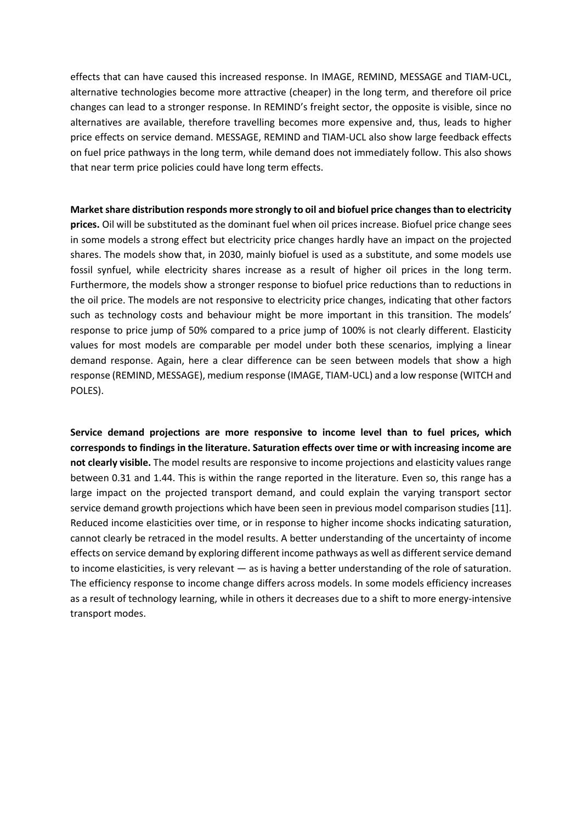effects that can have caused this increased response. In IMAGE, REMIND, MESSAGE and TIAM-UCL, alternative technologies become more attractive (cheaper) in the long term, and therefore oil price changes can lead to a stronger response. In REMIND's freight sector, the opposite is visible, since no alternatives are available, therefore travelling becomes more expensive and, thus, leads to higher price effects on service demand. MESSAGE, REMIND and TIAM-UCL also show large feedback effects on fuel price pathways in the long term, while demand does not immediately follow. This also shows that near term price policies could have long term effects.

**Market share distribution responds more strongly to oil and biofuel price changes than to electricity prices.** Oil will be substituted as the dominant fuel when oil prices increase. Biofuel price change sees in some models a strong effect but electricity price changes hardly have an impact on the projected shares. The models show that, in 2030, mainly biofuel is used as a substitute, and some models use fossil synfuel, while electricity shares increase as a result of higher oil prices in the long term. Furthermore, the models show a stronger response to biofuel price reductions than to reductions in the oil price. The models are not responsive to electricity price changes, indicating that other factors such as technology costs and behaviour might be more important in this transition. The models' response to price jump of 50% compared to a price jump of 100% is not clearly different. Elasticity values for most models are comparable per model under both these scenarios, implying a linear demand response. Again, here a clear difference can be seen between models that show a high response (REMIND, MESSAGE), medium response (IMAGE, TIAM-UCL) and a low response (WITCH and POLES).

**Service demand projections are more responsive to income level than to fuel prices, which corresponds to findings in the literature. Saturation effects over time or with increasing income are not clearly visible.** The model results are responsive to income projections and elasticity values range between 0.31 and 1.44. This is within the range reported in the literature. Even so, this range has a large impact on the projected transport demand, and could explain the varying transport sector service demand growth projections which have been seen in previous model comparison studies [\[11\]](#page-16-6). Reduced income elasticities over time, or in response to higher income shocks indicating saturation, cannot clearly be retraced in the model results. A better understanding of the uncertainty of income effects on service demand by exploring different income pathways as well as different service demand to income elasticities, is very relevant — as is having a better understanding of the role of saturation. The efficiency response to income change differs across models. In some models efficiency increases as a result of technology learning, while in others it decreases due to a shift to more energy-intensive transport modes.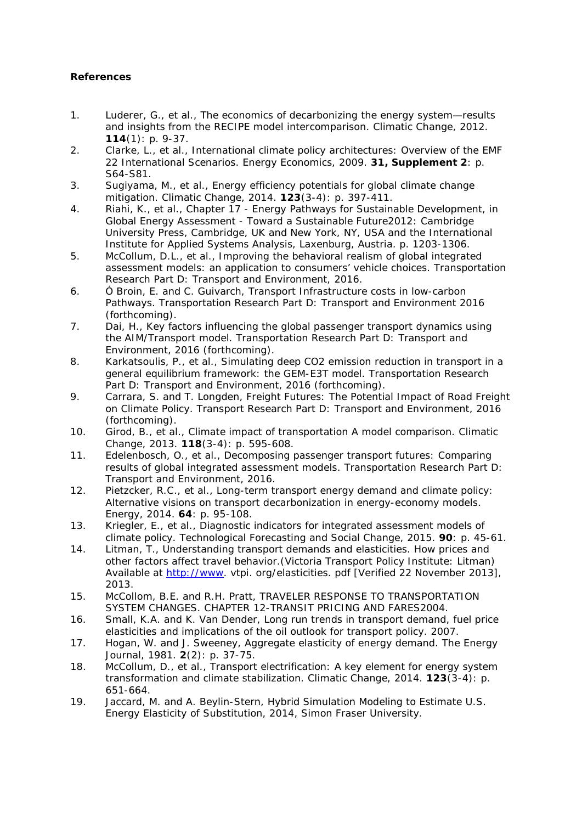# **References**

- <span id="page-16-0"></span>1. Luderer, G., et al., *The economics of decarbonizing the energy system—results and insights from the RECIPE model intercomparison.* Climatic Change, 2012. **114**(1): p. 9-37.
- <span id="page-16-1"></span>2. Clarke, L., et al., *International climate policy architectures: Overview of the EMF 22 International Scenarios.* Energy Economics, 2009. **31, Supplement 2**: p. S64-S81.
- <span id="page-16-2"></span>3. Sugiyama, M., et al., *Energy efficiency potentials for global climate change mitigation.* Climatic Change, 2014. **123**(3-4): p. 397-411.
- <span id="page-16-3"></span>4. Riahi, K., et al., *Chapter 17 - Energy Pathways for Sustainable Development*, in *Global Energy Assessment - Toward a Sustainable Future*2012: Cambridge University Press, Cambridge, UK and New York, NY, USA and the International Institute for Applied Systems Analysis, Laxenburg, Austria. p. 1203-1306.
- <span id="page-16-4"></span>5. McCollum, D.L., et al., *Improving the behavioral realism of global integrated assessment models: an application to consumers' vehicle choices.* Transportation Research Part D: Transport and Environment, 2016.
- 6. Ó Broin, E. and C. Guivarch, *Transport Infrastructure costs in low-carbon Pathways.* Transportation Research Part D: Transport and Environment 2016 (forthcoming).
- 7. Dai, H., *Key factors influencing the global passenger transport dynamics using the AIM/Transport model.* Transportation Research Part D: Transport and Environment, 2016 (forthcoming).
- 8. Karkatsoulis, P., et al., *Simulating deep CO2 emission reduction in transport in a general equilibrium framework: the GEM-E3T model.* Transportation Research Part D: Transport and Environment, 2016 (forthcoming).
- <span id="page-16-15"></span>9. Carrara, S. and T. Longden, *Freight Futures: The Potential Impact of Road Freight on Climate Policy.* Transport Research Part D: Transport and Environment, 2016 (forthcoming).
- <span id="page-16-5"></span>10. Girod, B., et al., *Climate impact of transportation A model comparison.* Climatic Change, 2013. **118**(3-4): p. 595-608.
- <span id="page-16-6"></span>11. Edelenbosch, O., et al., *Decomposing passenger transport futures: Comparing results of global integrated assessment models.* Transportation Research Part D: Transport and Environment, 2016.
- <span id="page-16-14"></span>12. Pietzcker, R.C., et al., *Long-term transport energy demand and climate policy: Alternative visions on transport decarbonization in energy-economy models.* Energy, 2014. **64**: p. 95-108.
- <span id="page-16-7"></span>13. Kriegler, E., et al., *Diagnostic indicators for integrated assessment models of climate policy.* Technological Forecasting and Social Change, 2015. **90**: p. 45-61.
- <span id="page-16-8"></span>14. Litman, T., *Understanding transport demands and elasticities.* How prices and other factors affect travel behavior.(Victoria Transport Policy Institute: Litman) Available at [http://www.](http://www/) vtpi. org/elasticities. pdf [Verified 22 November 2013], 2013.
- <span id="page-16-9"></span>15. McCollom, B.E. and R.H. Pratt, *TRAVELER RESPONSE TO TRANSPORTATION SYSTEM CHANGES. CHAPTER 12-TRANSIT PRICING AND FARES*2004.
- <span id="page-16-10"></span>16. Small, K.A. and K. Van Dender, *Long run trends in transport demand, fuel price elasticities and implications of the oil outlook for transport policy.* 2007.
- <span id="page-16-11"></span>17. Hogan, W. and J. Sweeney, *Aggregate elasticity of energy demand.* The Energy Journal, 1981. **2**(2): p. 37-75.
- <span id="page-16-13"></span>18. McCollum, D., et al., *Transport electrification: A key element for energy system transformation and climate stabilization.* Climatic Change, 2014. **123**(3-4): p. 651-664.
- <span id="page-16-12"></span>19. Jaccard, M. and A. Beylin-Stern, *Hybrid Simulation Modeling to Estimate U.S. Energy Elasticity of Substitution*, 2014, Simon Fraser University.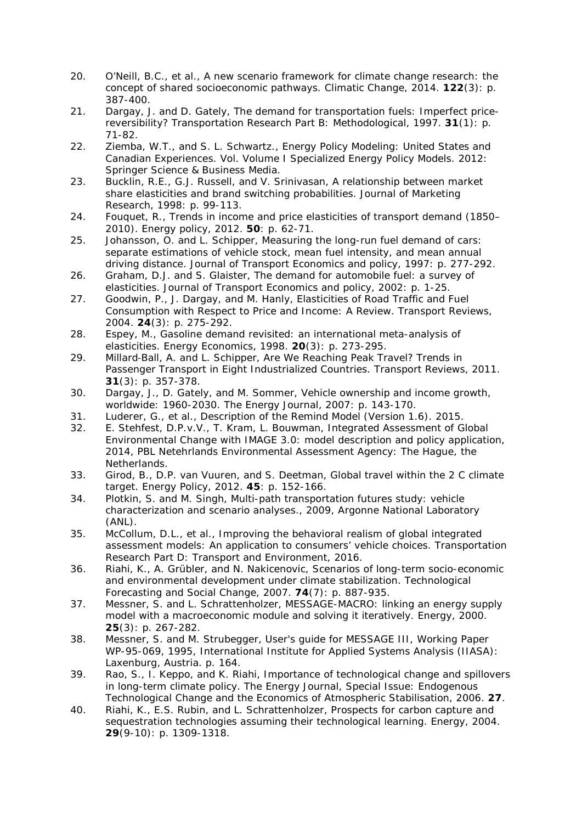- <span id="page-17-0"></span>20. O'Neill, B.C., et al., *A new scenario framework for climate change research: the concept of shared socioeconomic pathways.* Climatic Change, 2014. **122**(3): p. 387-400.
- <span id="page-17-1"></span>21. Dargay, J. and D. Gately, *The demand for transportation fuels: Imperfect pricereversibility?* Transportation Research Part B: Methodological, 1997. **31**(1): p. 71-82.
- <span id="page-17-2"></span>22. Ziemba, W.T., and S. L. Schwartz., *Energy Policy Modeling: United States and Canadian Experiences*. Vol. Volume I Specialized Energy Policy Models. 2012: Springer Science & Business Media.
- <span id="page-17-3"></span>23. Bucklin, R.E., G.J. Russell, and V. Srinivasan, *A relationship between market share elasticities and brand switching probabilities.* Journal of Marketing Research, 1998: p. 99-113.
- <span id="page-17-4"></span>24. Fouquet, R., *Trends in income and price elasticities of transport demand (1850– 2010).* Energy policy, 2012. **50**: p. 62-71.
- <span id="page-17-5"></span>25. Johansson, O. and L. Schipper, *Measuring the long-run fuel demand of cars: separate estimations of vehicle stock, mean fuel intensity, and mean annual driving distance.* Journal of Transport Economics and policy, 1997: p. 277-292.
- <span id="page-17-6"></span>26. Graham, D.J. and S. Glaister, *The demand for automobile fuel: a survey of elasticities.* Journal of Transport Economics and policy, 2002: p. 1-25.
- <span id="page-17-7"></span>27. Goodwin, P., J. Dargay, and M. Hanly, *Elasticities of Road Traffic and Fuel Consumption with Respect to Price and Income: A Review.* Transport Reviews, 2004. **24**(3): p. 275-292.
- <span id="page-17-8"></span>28. Espey, M., *Gasoline demand revisited: an international meta-analysis of elasticities.* Energy Economics, 1998. **20**(3): p. 273-295.
- <span id="page-17-9"></span>29. Millard‐Ball, A. and L. Schipper, *Are We Reaching Peak Travel? Trends in Passenger Transport in Eight Industrialized Countries.* Transport Reviews, 2011. **31**(3): p. 357-378.
- <span id="page-17-10"></span>30. Dargay, J., D. Gately, and M. Sommer, *Vehicle ownership and income growth, worldwide: 1960-2030.* The Energy Journal, 2007: p. 143-170.
- <span id="page-17-11"></span>31. Luderer, G., et al., *Description of the Remind Model (Version 1.6).* 2015.
- <span id="page-17-12"></span>32. E. Stehfest, D.P.v.V., T. Kram, L. Bouwman, *Integrated Assessment of Global Environmental Change with IMAGE 3.0: model description and policy application*, 2014, PBL Netehrlands Environmental Assessment Agency: The Hague, the Netherlands.
- <span id="page-17-13"></span>33. Girod, B., D.P. van Vuuren, and S. Deetman, *Global travel within the 2 C climate target.* Energy Policy, 2012. **45**: p. 152-166.
- <span id="page-17-14"></span>34. Plotkin, S. and M. Singh, *Multi-path transportation futures study: vehicle characterization and scenario analyses.*, 2009, Argonne National Laboratory (ANL).
- <span id="page-17-15"></span>35. McCollum, D.L., et al., *Improving the behavioral realism of global integrated assessment models: An application to consumers' vehicle choices.* Transportation Research Part D: Transport and Environment, 2016.
- <span id="page-17-16"></span>36. Riahi, K., A. Grübler, and N. Nakicenovic, *Scenarios of long-term socio-economic and environmental development under climate stabilization.* Technological Forecasting and Social Change, 2007. **74**(7): p. 887-935.
- <span id="page-17-17"></span>37. Messner, S. and L. Schrattenholzer, *MESSAGE-MACRO: linking an energy supply model with a macroeconomic module and solving it iteratively.* Energy, 2000. **25**(3): p. 267-282.
- <span id="page-17-18"></span>38. Messner, S. and M. Strubegger, *User's guide for MESSAGE III, Working Paper WP-95-069*, 1995, International Institute for Applied Systems Analysis (IIASA): Laxenburg, Austria. p. 164.
- <span id="page-17-19"></span>39. Rao, S., I. Keppo, and K. Riahi, *Importance of technological change and spillovers in long-term climate policy.* The Energy Journal, Special Issue: Endogenous Technological Change and the Economics of Atmospheric Stabilisation, 2006. **27**.
- 40. Riahi, K., E.S. Rubin, and L. Schrattenholzer, *Prospects for carbon capture and sequestration technologies assuming their technological learning.* Energy, 2004. **29**(9-10): p. 1309-1318.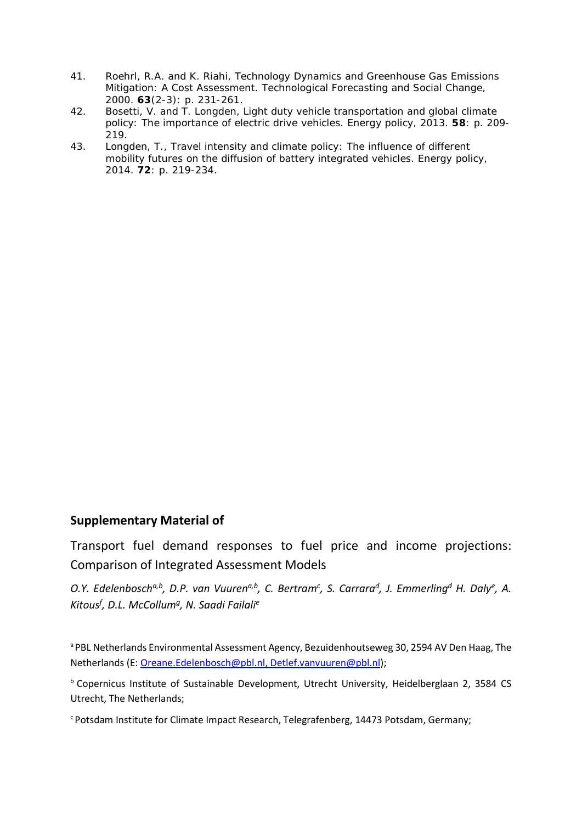- 41. Roehrl, R.A. and K. Riahi, *Technology Dynamics and Greenhouse Gas Emissions Mitigation: A Cost Assessment.* Technological Forecasting and Social Change, 2000. **63**(2-3): p. 231-261.
- <span id="page-18-0"></span>42. Bosetti, V. and T. Longden, *Light duty vehicle transportation and global climate policy: The importance of electric drive vehicles.* Energy policy, 2013. **58**: p. 209- 219.
- <span id="page-18-1"></span>43. Longden, T., *Travel intensity and climate policy: The influence of different mobility futures on the diffusion of battery integrated vehicles.* Energy policy, 2014. **72**: p. 219-234.

# **Supplementary Material of**

Transport fuel demand responses to fuel price and income projections: Comparison of Integrated Assessment Models

O.Y. Edelenbosch<sup>a,b</sup>, D.P. van Vuuren<sup>a,b</sup>, C. Bertram<sup>c</sup>, S. Carrara<sup>d</sup>, J. Emmerling<sup>d</sup> H. Daly<sup>e</sup>, A. *Kitousf , D.L. McCollumg, N. Saadi Failalie*

a PBL Netherlands Environmental Assessment Agency, Bezuidenhoutseweg 30, 2594 AV Den Haag, The Netherlands (E[: Oreane.Edelenbosch@pbl.nl,](mailto:Oreane.Edelenbosch@pbl.nl) Detlef.vanvuuren@pbl.nl);

**b Copernicus Institute of Sustainable Development, Utrecht University, Heidelberglaan 2, 3584 CS** Utrecht, The Netherlands;

c Potsdam Institute for Climate Impact Research, Telegrafenberg, 14473 Potsdam, Germany;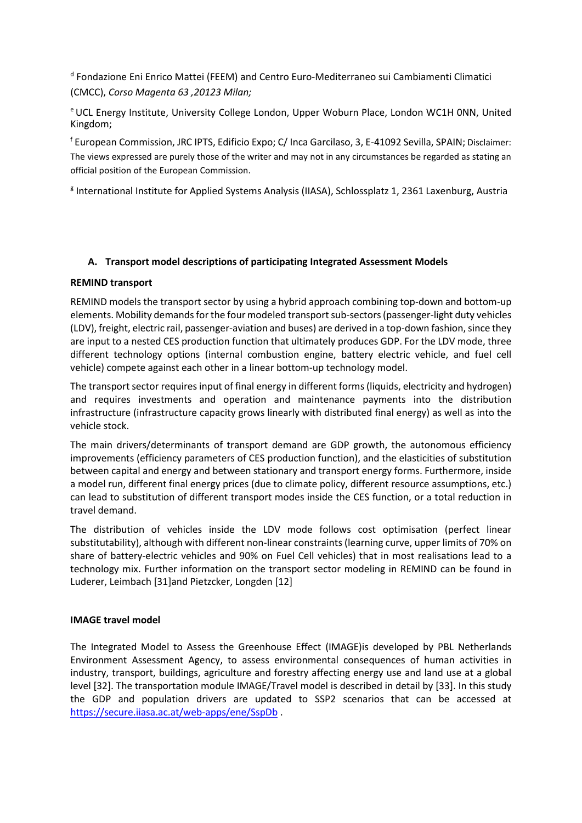<sup>d</sup> Fondazione Eni Enrico Mattei (FEEM) and Centro Euro-Mediterraneo sui Cambiamenti Climatici (CMCC), *Corso Magenta 63 ,20123 Milan;*

e UCL Energy Institute, University College London, Upper Woburn Place, London WC1H 0NN, United Kingdom;

<sup>f</sup> European Commission, JRC IPTS, Edificio Expo; C/ Inca Garcilaso, 3, E-41092 Sevilla, SPAIN; Disclaimer: The views expressed are purely those of the writer and may not in any circumstances be regarded as stating an official position of the European Commission.

<sup>g</sup> International Institute for Applied Systems Analysis (IIASA), Schlossplatz 1, 2361 Laxenburg, Austria

# **A. Transport model descriptions of participating Integrated Assessment Models**

# **REMIND transport**

REMIND models the transport sector by using a hybrid approach combining top-down and bottom-up elements. Mobility demands for the four modeled transport sub-sectors (passenger-light duty vehicles (LDV), freight, electric rail, passenger-aviation and buses) are derived in a top-down fashion, since they are input to a nested CES production function that ultimately produces GDP. For the LDV mode, three different technology options (internal combustion engine, battery electric vehicle, and fuel cell vehicle) compete against each other in a linear bottom-up technology model.

The transport sector requires input of final energy in different forms (liquids, electricity and hydrogen) and requires investments and operation and maintenance payments into the distribution infrastructure (infrastructure capacity grows linearly with distributed final energy) as well as into the vehicle stock.

The main drivers/determinants of transport demand are GDP growth, the autonomous efficiency improvements (efficiency parameters of CES production function), and the elasticities of substitution between capital and energy and between stationary and transport energy forms. Furthermore, inside a model run, different final energy prices (due to climate policy, different resource assumptions, etc.) can lead to substitution of different transport modes inside the CES function, or a total reduction in travel demand.

The distribution of vehicles inside the LDV mode follows cost optimisation (perfect linear substitutability), although with different non-linear constraints (learning curve, upper limits of 70% on share of battery-electric vehicles and 90% on Fuel Cell vehicles) that in most realisations lead to a technology mix. Further information on the transport sector modeling in REMIND can be found in [Luderer, Leimbach \[31\]](#page-17-11)an[d Pietzcker, Longden \[12\]](#page-16-14)

# **IMAGE travel model**

The Integrated Model to Assess the Greenhouse Effect (IMAGE)is developed by PBL Netherlands Environment Assessment Agency, to assess environmental consequences of human activities in industry, transport, buildings, agriculture and forestry affecting energy use and land use at a global level [\[32\]](#page-17-12). The transportation module IMAGE/Travel model is described in detail by [\[33\]](#page-17-13). In this study the GDP and population drivers are updated to SSP2 scenarios that can be accessed at <https://secure.iiasa.ac.at/web-apps/ene/SspDb> .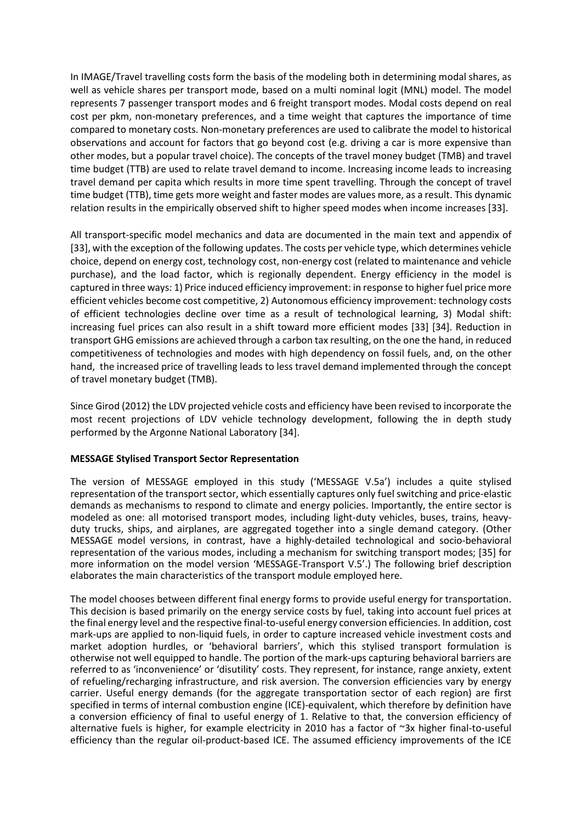In IMAGE/Travel travelling costs form the basis of the modeling both in determining modal shares, as well as vehicle shares per transport mode, based on a multi nominal logit (MNL) model. The model represents 7 passenger transport modes and 6 freight transport modes. Modal costs depend on real cost per pkm, non-monetary preferences, and a time weight that captures the importance of time compared to monetary costs. Non-monetary preferences are used to calibrate the model to historical observations and account for factors that go beyond cost (e.g. driving a car is more expensive than other modes, but a popular travel choice). The concepts of the travel money budget (TMB) and travel time budget (TTB) are used to relate travel demand to income. Increasing income leads to increasing travel demand per capita which results in more time spent travelling. Through the concept of travel time budget (TTB), time gets more weight and faster modes are values more, as a result. This dynamic relation results in the empirically observed shift to higher speed modes when income increases [\[33\]](#page-17-13).

All transport-specific model mechanics and data are documented in the main text and appendix of [\[33\]](#page-17-13), with the exception of the following updates. The costs per vehicle type, which determines vehicle choice, depend on energy cost, technology cost, non-energy cost (related to maintenance and vehicle purchase), and the load factor, which is regionally dependent. Energy efficiency in the model is captured in three ways: 1) Price induced efficiency improvement: in response to higher fuel price more efficient vehicles become cost competitive, 2) Autonomous efficiency improvement: technology costs of efficient technologies decline over time as a result of technological learning, 3) Modal shift: increasing fuel prices can also result in a shift toward more efficient modes [\[33\]](#page-17-13) [\[34\]](#page-17-14). Reduction in transport GHG emissions are achieved through a carbon tax resulting, on the one the hand, in reduced competitiveness of technologies and modes with high dependency on fossil fuels, and, on the other hand, the increased price of travelling leads to less travel demand implemented through the concept of travel monetary budget (TMB).

Since Girod (2012) the LDV projected vehicle costs and efficiency have been revised to incorporate the most recent projections of LDV vehicle technology development, following the in depth study performed by the Argonne National Laboratory [\[34\]](#page-17-14).

# **MESSAGE Stylised Transport Sector Representation**

The version of MESSAGE employed in this study ('MESSAGE V.5a') includes a quite stylised representation of the transport sector, which essentially captures only fuel switching and price-elastic demands as mechanisms to respond to climate and energy policies. Importantly, the entire sector is modeled as one: all motorised transport modes, including light-duty vehicles, buses, trains, heavyduty trucks, ships, and airplanes, are aggregated together into a single demand category. (Other MESSAGE model versions, in contrast, have a highly-detailed technological and socio-behavioral representation of the various modes, including a mechanism for switching transport modes; [\[35\]](#page-17-15) for more information on the model version 'MESSAGE-Transport V.5'.) The following brief description elaborates the main characteristics of the transport module employed here.

The model chooses between different final energy forms to provide useful energy for transportation. This decision is based primarily on the energy service costs by fuel, taking into account fuel prices at the final energy level and the respective final-to-useful energy conversion efficiencies. In addition, cost mark-ups are applied to non-liquid fuels, in order to capture increased vehicle investment costs and market adoption hurdles, or 'behavioral barriers', which this stylised transport formulation is otherwise not well equipped to handle. The portion of the mark-ups capturing behavioral barriers are referred to as 'inconvenience' or 'disutility' costs. They represent, for instance, range anxiety, extent of refueling/recharging infrastructure, and risk aversion. The conversion efficiencies vary by energy carrier. Useful energy demands (for the aggregate transportation sector of each region) are first specified in terms of internal combustion engine (ICE)-equivalent, which therefore by definition have a conversion efficiency of final to useful energy of 1. Relative to that, the conversion efficiency of alternative fuels is higher, for example electricity in 2010 has a factor of ~3x higher final-to-useful efficiency than the regular oil-product-based ICE. The assumed efficiency improvements of the ICE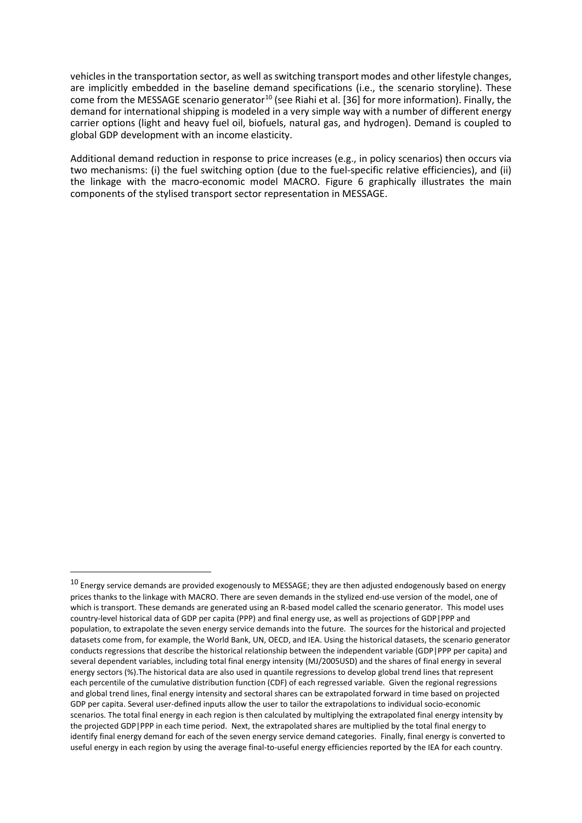vehicles in the transportation sector, as well as switching transport modes and other lifestyle changes, are implicitly embedded in the baseline demand specifications (i.e., the scenario storyline). These come from the MESSAGE scenario generator<sup>10</sup> (see Riahi et al. [\[36\]](#page-17-16) for more information). Finally, the demand for international shipping is modeled in a very simple way with a number of different energy carrier options (light and heavy fuel oil, biofuels, natural gas, and hydrogen). Demand is coupled to global GDP development with an income elasticity.

Additional demand reduction in response to price increases (e.g., in policy scenarios) then occurs via two mechanisms: (i) the fuel switching option (due to the fuel-specific relative efficiencies), and (ii) the linkage with the macro-economic model MACRO. [Figure 6](#page-22-0) graphically illustrates the main components of the stylised transport sector representation in MESSAGE.

-

<span id="page-21-0"></span> $10$  Energy service demands are provided exogenously to MESSAGE; they are then adjusted endogenously based on energy prices thanks to the linkage with MACRO. There are seven demands in the stylized end-use version of the model, one of which is transport. These demands are generated using an R-based model called the scenario generator. This model uses country-level historical data of GDP per capita (PPP) and final energy use, as well as projections of GDP|PPP and population, to extrapolate the seven energy service demands into the future. The sources for the historical and projected datasets come from, for example, the World Bank, UN, OECD, and IEA. Using the historical datasets, the scenario generator conducts regressions that describe the historical relationship between the independent variable (GDP|PPP per capita) and several dependent variables, including total final energy intensity (MJ/2005USD) and the shares of final energy in several energy sectors (%).The historical data are also used in quantile regressions to develop global trend lines that represent each percentile of the cumulative distribution function (CDF) of each regressed variable. Given the regional regressions and global trend lines, final energy intensity and sectoral shares can be extrapolated forward in time based on projected GDP per capita. Several user-defined inputs allow the user to tailor the extrapolations to individual socio-economic scenarios. The total final energy in each region is then calculated by multiplying the extrapolated final energy intensity by the projected GDP|PPP in each time period. Next, the extrapolated shares are multiplied by the total final energy to identify final energy demand for each of the seven energy service demand categories. Finally, final energy is converted to useful energy in each region by using the average final-to-useful energy efficiencies reported by the IEA for each country.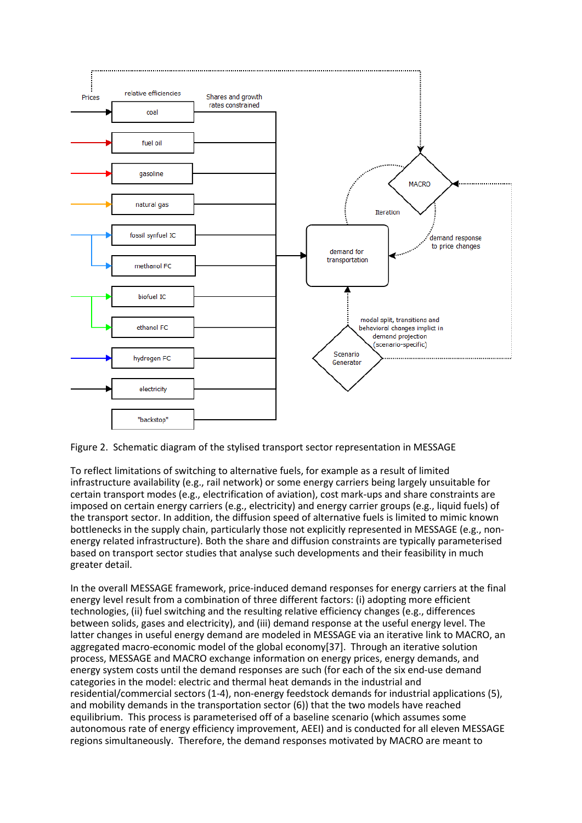

<span id="page-22-0"></span>Figure 2. Schematic diagram of the stylised transport sector representation in MESSAGE

To reflect limitations of switching to alternative fuels, for example as a result of limited infrastructure availability (e.g., rail network) or some energy carriers being largely unsuitable for certain transport modes (e.g., electrification of aviation), cost mark-ups and share constraints are imposed on certain energy carriers (e.g., electricity) and energy carrier groups (e.g., liquid fuels) of the transport sector. In addition, the diffusion speed of alternative fuels is limited to mimic known bottlenecks in the supply chain, particularly those not explicitly represented in MESSAGE (e.g., nonenergy related infrastructure). Both the share and diffusion constraints are typically parameterised based on transport sector studies that analyse such developments and their feasibility in much greater detail.

In the overall MESSAGE framework, price-induced demand responses for energy carriers at the final energy level result from a combination of three different factors: (i) adopting more efficient technologies, (ii) fuel switching and the resulting relative efficiency changes (e.g., differences between solids, gases and electricity), and (iii) demand response at the useful energy level. The latter changes in useful energy demand are modeled in MESSAGE via an iterative link to MACRO, an aggregated macro-economic model of the global economy[\[37\]](#page-17-17). Through an iterative solution process, MESSAGE and MACRO exchange information on energy prices, energy demands, and energy system costs until the demand responses are such (for each of the six end-use demand categories in the model: electric and thermal heat demands in the industrial and residential/commercial sectors (1-4), non-energy feedstock demands for industrial applications (5), and mobility demands in the transportation sector (6)) that the two models have reached equilibrium. This process is parameterised off of a baseline scenario (which assumes some autonomous rate of energy efficiency improvement, AEEI) and is conducted for all eleven MESSAGE regions simultaneously. Therefore, the demand responses motivated by MACRO are meant to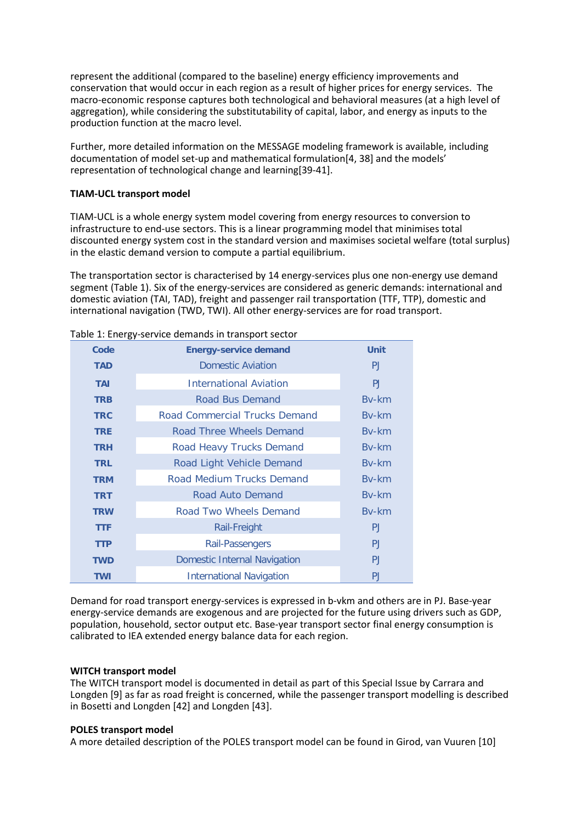represent the additional (compared to the baseline) energy efficiency improvements and conservation that would occur in each region as a result of higher prices for energy services. The macro-economic response captures both technological and behavioral measures (at a high level of aggregation), while considering the substitutability of capital, labor, and energy as inputs to the production function at the macro level.

Further, more detailed information on the MESSAGE modeling framework is available, including documentation of model set-up and mathematical formulation[\[4,](#page-16-3) [38\]](#page-17-18) and the models' representation of technological change and learning[\[39-41\]](#page-17-19).

# **TIAM-UCL transport model**

TIAM-UCL is a whole energy system model covering from energy resources to conversion to infrastructure to end-use sectors. This is a linear programming model that minimises total discounted energy system cost in the standard version and maximises societal welfare (total surplus) in the elastic demand version to compute a partial equilibrium.

The transportation sector is characterised by 14 energy-services plus one non-energy use demand segment (Table 1). Six of the energy-services are considered as generic demands: international and domestic aviation (TAI, TAD), freight and passenger rail transportation (TTF, TTP), domestic and international navigation (TWD, TWI). All other energy-services are for road transport.

|            | able 1. Encry service actionias in transport sector |                |
|------------|-----------------------------------------------------|----------------|
| Code       | <b>Energy-service demand</b>                        | <b>Unit</b>    |
| <b>TAD</b> | <b>Domestic Aviation</b>                            | PJ             |
| <b>TAI</b> | <b>International Aviation</b>                       | P <sub>J</sub> |
| <b>TRB</b> | <b>Road Bus Demand</b>                              | <b>Bv-km</b>   |
| <b>TRC</b> | <b>Road Commercial Trucks Demand</b>                | Bv-km          |
| <b>TRE</b> | Road Three Wheels Demand                            | <b>Bv-km</b>   |
| <b>TRH</b> | Road Heavy Trucks Demand                            | Bv-km          |
| <b>TRL</b> | Road Light Vehicle Demand                           | Bv-km          |
| <b>TRM</b> | Road Medium Trucks Demand                           | By-km          |
| <b>TRT</b> | Road Auto Demand                                    | By-km          |
| <b>TRW</b> | Road Two Wheels Demand                              | <b>Bv-km</b>   |
| <b>TTF</b> | <b>Rail-Freight</b>                                 | P <sub>J</sub> |
| <b>TTP</b> | Rail-Passengers                                     | PJ.            |
| <b>TWD</b> | <b>Domestic Internal Navigation</b>                 | P <sub>J</sub> |
| <b>TWI</b> | <b>International Navigation</b>                     | <b>PJ</b>      |
|            |                                                     |                |

Table 1: Energy-service demands in transport sector

Demand for road transport energy-services is expressed in b-vkm and others are in PJ. Base-year energy-service demands are exogenous and are projected for the future using drivers such as GDP, population, household, sector output etc. Base-year transport sector final energy consumption is calibrated to IEA extended energy balance data for each region.

# **WITCH transport model**

The WITCH transport model is documented in detail as part of this Special Issue b[y Carrara and](#page-16-15)  [Longden \[9\]](#page-16-15) as far as road freight is concerned, while the passenger transport modelling is described in Bosetti and Longden [\[42\]](#page-18-0) and Longden [\[43\]](#page-18-1).

#### **POLES transport model**

A more detailed description of the POLES transport model can be found in [Girod, van Vuuren \[10\]](#page-16-5)